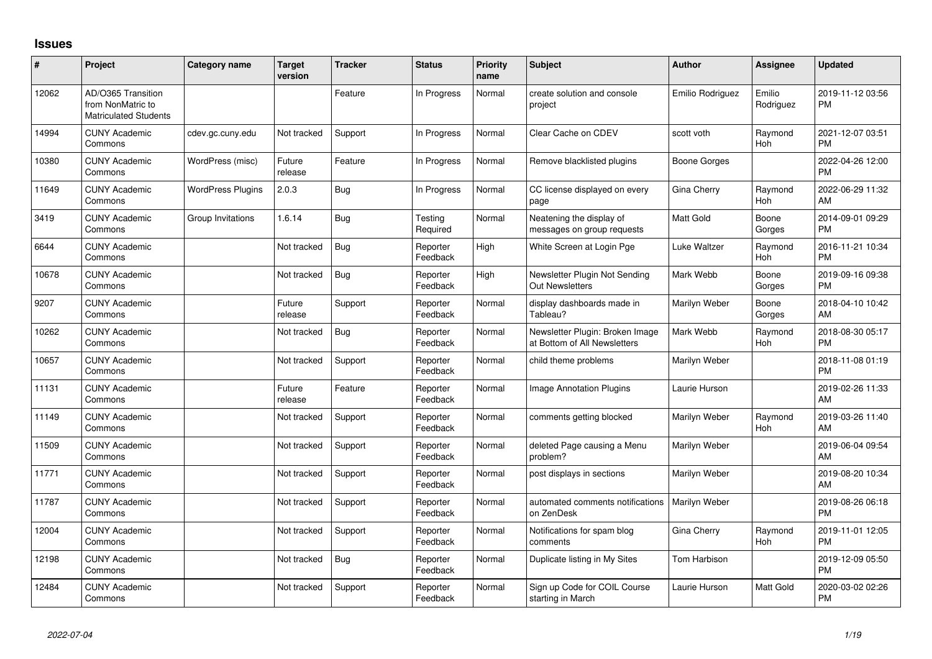## **Issues**

| #     | Project                                                                 | <b>Category name</b>     | <b>Target</b><br>version | <b>Tracker</b> | <b>Status</b>        | Priority<br>name | <b>Subject</b>                                                  | <b>Author</b>    | <b>Assignee</b>     | <b>Updated</b>                |
|-------|-------------------------------------------------------------------------|--------------------------|--------------------------|----------------|----------------------|------------------|-----------------------------------------------------------------|------------------|---------------------|-------------------------------|
| 12062 | AD/O365 Transition<br>from NonMatric to<br><b>Matriculated Students</b> |                          |                          | Feature        | In Progress          | Normal           | create solution and console<br>project                          | Emilio Rodriguez | Emilio<br>Rodriguez | 2019-11-12 03:56<br><b>PM</b> |
| 14994 | <b>CUNY Academic</b><br>Commons                                         | cdev.gc.cuny.edu         | Not tracked              | Support        | In Progress          | Normal           | Clear Cache on CDEV                                             | scott voth       | Raymond<br>Hoh      | 2021-12-07 03:51<br><b>PM</b> |
| 10380 | <b>CUNY Academic</b><br>Commons                                         | WordPress (misc)         | Future<br>release        | Feature        | In Progress          | Normal           | Remove blacklisted plugins                                      | Boone Gorges     |                     | 2022-04-26 12:00<br><b>PM</b> |
| 11649 | <b>CUNY Academic</b><br>Commons                                         | <b>WordPress Plugins</b> | 2.0.3                    | Bug            | In Progress          | Normal           | CC license displayed on every<br>page                           | Gina Cherry      | Raymond<br>Hoh      | 2022-06-29 11:32<br>AM        |
| 3419  | <b>CUNY Academic</b><br>Commons                                         | Group Invitations        | 1.6.14                   | <b>Bug</b>     | Testing<br>Required  | Normal           | Neatening the display of<br>messages on group requests          | <b>Matt Gold</b> | Boone<br>Gorges     | 2014-09-01 09:29<br><b>PM</b> |
| 6644  | <b>CUNY Academic</b><br>Commons                                         |                          | Not tracked              | Bug            | Reporter<br>Feedback | High             | White Screen at Login Pge                                       | Luke Waltzer     | Raymond<br>Hoh      | 2016-11-21 10:34<br><b>PM</b> |
| 10678 | <b>CUNY Academic</b><br>Commons                                         |                          | Not tracked              | Bug            | Reporter<br>Feedback | High             | Newsletter Plugin Not Sending<br><b>Out Newsletters</b>         | Mark Webb        | Boone<br>Gorges     | 2019-09-16 09:38<br><b>PM</b> |
| 9207  | <b>CUNY Academic</b><br>Commons                                         |                          | Future<br>release        | Support        | Reporter<br>Feedback | Normal           | display dashboards made in<br>Tableau?                          | Marilyn Weber    | Boone<br>Gorges     | 2018-04-10 10:42<br>AM        |
| 10262 | <b>CUNY Academic</b><br>Commons                                         |                          | Not tracked              | Bug            | Reporter<br>Feedback | Normal           | Newsletter Plugin: Broken Image<br>at Bottom of All Newsletters | Mark Webb        | Raymond<br>Hoh      | 2018-08-30 05:17<br><b>PM</b> |
| 10657 | <b>CUNY Academic</b><br>Commons                                         |                          | Not tracked              | Support        | Reporter<br>Feedback | Normal           | child theme problems                                            | Marilyn Weber    |                     | 2018-11-08 01:19<br><b>PM</b> |
| 11131 | <b>CUNY Academic</b><br>Commons                                         |                          | Future<br>release        | Feature        | Reporter<br>Feedback | Normal           | <b>Image Annotation Plugins</b>                                 | Laurie Hurson    |                     | 2019-02-26 11:33<br>AM        |
| 11149 | <b>CUNY Academic</b><br>Commons                                         |                          | Not tracked              | Support        | Reporter<br>Feedback | Normal           | comments getting blocked                                        | Marilyn Weber    | Raymond<br>Hoh      | 2019-03-26 11:40<br>AM        |
| 11509 | <b>CUNY Academic</b><br>Commons                                         |                          | Not tracked              | Support        | Reporter<br>Feedback | Normal           | deleted Page causing a Menu<br>problem?                         | Marilyn Weber    |                     | 2019-06-04 09:54<br>AM        |
| 11771 | <b>CUNY Academic</b><br>Commons                                         |                          | Not tracked              | Support        | Reporter<br>Feedback | Normal           | post displays in sections                                       | Marilyn Weber    |                     | 2019-08-20 10:34<br>AM        |
| 11787 | <b>CUNY Academic</b><br>Commons                                         |                          | Not tracked              | Support        | Reporter<br>Feedback | Normal           | automated comments notifications<br>on ZenDesk                  | Marilyn Weber    |                     | 2019-08-26 06:18<br><b>PM</b> |
| 12004 | <b>CUNY Academic</b><br>Commons                                         |                          | Not tracked              | Support        | Reporter<br>Feedback | Normal           | Notifications for spam blog<br>comments                         | Gina Cherry      | Raymond<br>Hoh      | 2019-11-01 12:05<br><b>PM</b> |
| 12198 | <b>CUNY Academic</b><br>Commons                                         |                          | Not tracked              | Bug            | Reporter<br>Feedback | Normal           | Duplicate listing in My Sites                                   | Tom Harbison     |                     | 2019-12-09 05:50<br><b>PM</b> |
| 12484 | <b>CUNY Academic</b><br>Commons                                         |                          | Not tracked              | Support        | Reporter<br>Feedback | Normal           | Sign up Code for COIL Course<br>starting in March               | Laurie Hurson    | Matt Gold           | 2020-03-02 02:26<br><b>PM</b> |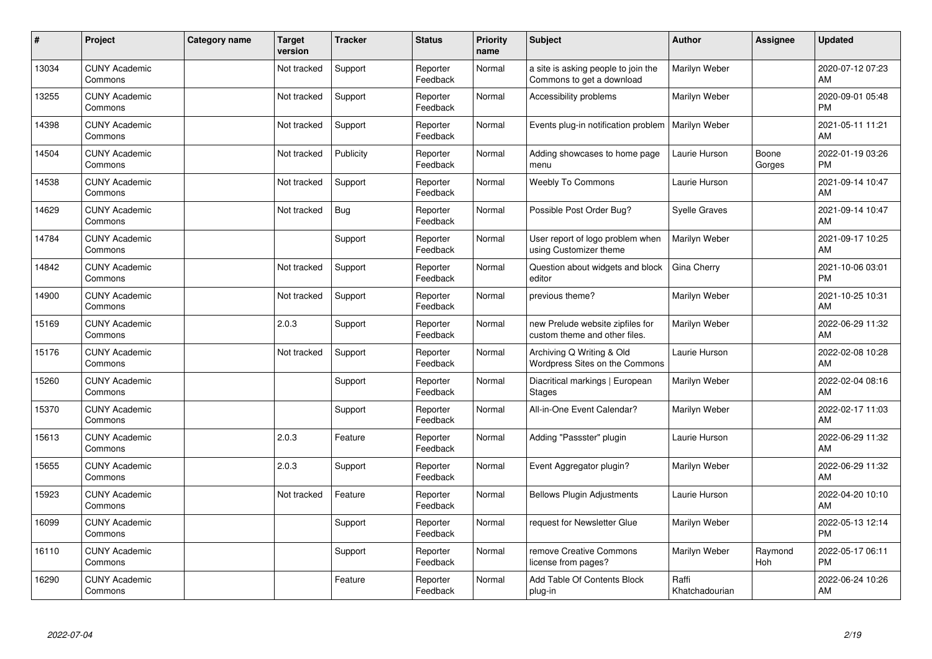| #     | Project                         | Category name | <b>Target</b><br>version | <b>Tracker</b> | <b>Status</b>        | <b>Priority</b><br>name | Subject                                                           | <b>Author</b>           | <b>Assignee</b> | Updated                       |
|-------|---------------------------------|---------------|--------------------------|----------------|----------------------|-------------------------|-------------------------------------------------------------------|-------------------------|-----------------|-------------------------------|
| 13034 | <b>CUNY Academic</b><br>Commons |               | Not tracked              | Support        | Reporter<br>Feedback | Normal                  | a site is asking people to join the<br>Commons to get a download  | Marilyn Weber           |                 | 2020-07-12 07:23<br>AM        |
| 13255 | <b>CUNY Academic</b><br>Commons |               | Not tracked              | Support        | Reporter<br>Feedback | Normal                  | Accessibility problems                                            | Marilyn Weber           |                 | 2020-09-01 05:48<br><b>PM</b> |
| 14398 | <b>CUNY Academic</b><br>Commons |               | Not tracked              | Support        | Reporter<br>Feedback | Normal                  | Events plug-in notification problem                               | Marilyn Weber           |                 | 2021-05-11 11:21<br>AM        |
| 14504 | <b>CUNY Academic</b><br>Commons |               | Not tracked              | Publicity      | Reporter<br>Feedback | Normal                  | Adding showcases to home page<br>menu                             | Laurie Hurson           | Boone<br>Gorges | 2022-01-19 03:26<br><b>PM</b> |
| 14538 | <b>CUNY Academic</b><br>Commons |               | Not tracked              | Support        | Reporter<br>Feedback | Normal                  | <b>Weebly To Commons</b>                                          | Laurie Hurson           |                 | 2021-09-14 10:47<br>AM        |
| 14629 | <b>CUNY Academic</b><br>Commons |               | Not tracked              | Bug            | Reporter<br>Feedback | Normal                  | Possible Post Order Bug?                                          | <b>Syelle Graves</b>    |                 | 2021-09-14 10:47<br>AM        |
| 14784 | <b>CUNY Academic</b><br>Commons |               |                          | Support        | Reporter<br>Feedback | Normal                  | User report of logo problem when<br>using Customizer theme        | Marilyn Weber           |                 | 2021-09-17 10:25<br>AM        |
| 14842 | <b>CUNY Academic</b><br>Commons |               | Not tracked              | Support        | Reporter<br>Feedback | Normal                  | Question about widgets and block<br>editor                        | Gina Cherry             |                 | 2021-10-06 03:01<br><b>PM</b> |
| 14900 | <b>CUNY Academic</b><br>Commons |               | Not tracked              | Support        | Reporter<br>Feedback | Normal                  | previous theme?                                                   | Marilyn Weber           |                 | 2021-10-25 10:31<br>AM        |
| 15169 | <b>CUNY Academic</b><br>Commons |               | 2.0.3                    | Support        | Reporter<br>Feedback | Normal                  | new Prelude website zipfiles for<br>custom theme and other files. | Marilyn Weber           |                 | 2022-06-29 11:32<br>AM        |
| 15176 | <b>CUNY Academic</b><br>Commons |               | Not tracked              | Support        | Reporter<br>Feedback | Normal                  | Archiving Q Writing & Old<br>Wordpress Sites on the Commons       | Laurie Hurson           |                 | 2022-02-08 10:28<br>AM        |
| 15260 | <b>CUNY Academic</b><br>Commons |               |                          | Support        | Reporter<br>Feedback | Normal                  | Diacritical markings   European<br><b>Stages</b>                  | Marilyn Weber           |                 | 2022-02-04 08:16<br>AM        |
| 15370 | <b>CUNY Academic</b><br>Commons |               |                          | Support        | Reporter<br>Feedback | Normal                  | All-in-One Event Calendar?                                        | Marilyn Weber           |                 | 2022-02-17 11:03<br>AM        |
| 15613 | <b>CUNY Academic</b><br>Commons |               | 2.0.3                    | Feature        | Reporter<br>Feedback | Normal                  | Adding "Passster" plugin                                          | Laurie Hurson           |                 | 2022-06-29 11:32<br>AM        |
| 15655 | <b>CUNY Academic</b><br>Commons |               | 2.0.3                    | Support        | Reporter<br>Feedback | Normal                  | Event Aggregator plugin?                                          | Marilyn Weber           |                 | 2022-06-29 11:32<br>AM        |
| 15923 | <b>CUNY Academic</b><br>Commons |               | Not tracked              | Feature        | Reporter<br>Feedback | Normal                  | <b>Bellows Plugin Adjustments</b>                                 | Laurie Hurson           |                 | 2022-04-20 10:10<br>AM        |
| 16099 | <b>CUNY Academic</b><br>Commons |               |                          | Support        | Reporter<br>Feedback | Normal                  | request for Newsletter Glue                                       | Marilyn Weber           |                 | 2022-05-13 12:14<br><b>PM</b> |
| 16110 | <b>CUNY Academic</b><br>Commons |               |                          | Support        | Reporter<br>Feedback | Normal                  | remove Creative Commons<br>license from pages?                    | Marilyn Weber           | Raymond<br>Hoh  | 2022-05-17 06:11<br><b>PM</b> |
| 16290 | <b>CUNY Academic</b><br>Commons |               |                          | Feature        | Reporter<br>Feedback | Normal                  | Add Table Of Contents Block<br>plug-in                            | Raffi<br>Khatchadourian |                 | 2022-06-24 10:26<br>AM        |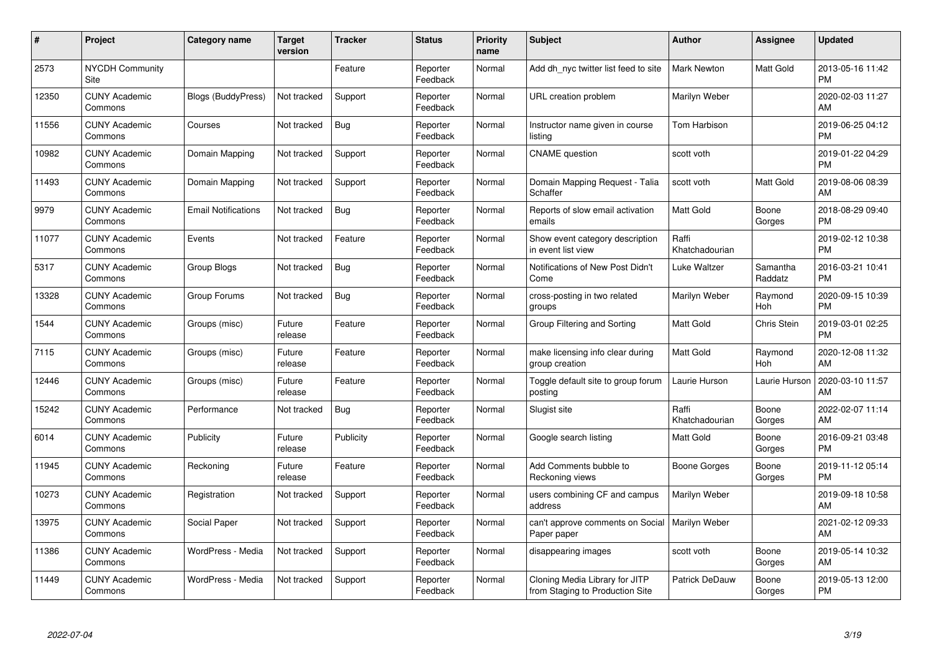| #     | Project                         | Category name              | Target<br>version | <b>Tracker</b> | <b>Status</b>        | Priority<br>name | <b>Subject</b>                                                    | <b>Author</b>           | Assignee            | <b>Updated</b>                |
|-------|---------------------------------|----------------------------|-------------------|----------------|----------------------|------------------|-------------------------------------------------------------------|-------------------------|---------------------|-------------------------------|
| 2573  | <b>NYCDH Community</b><br>Site  |                            |                   | Feature        | Reporter<br>Feedback | Normal           | Add dh nyc twitter list feed to site                              | <b>Mark Newton</b>      | Matt Gold           | 2013-05-16 11:42<br><b>PM</b> |
| 12350 | <b>CUNY Academic</b><br>Commons | Blogs (BuddyPress)         | Not tracked       | Support        | Reporter<br>Feedback | Normal           | URL creation problem                                              | Marilyn Weber           |                     | 2020-02-03 11:27<br>AM        |
| 11556 | <b>CUNY Academic</b><br>Commons | Courses                    | Not tracked       | Bug            | Reporter<br>Feedback | Normal           | Instructor name given in course<br>listing                        | Tom Harbison            |                     | 2019-06-25 04:12<br><b>PM</b> |
| 10982 | <b>CUNY Academic</b><br>Commons | Domain Mapping             | Not tracked       | Support        | Reporter<br>Feedback | Normal           | <b>CNAME</b> question                                             | scott voth              |                     | 2019-01-22 04:29<br><b>PM</b> |
| 11493 | <b>CUNY Academic</b><br>Commons | Domain Mapping             | Not tracked       | Support        | Reporter<br>Feedback | Normal           | Domain Mapping Request - Talia<br>Schaffer                        | scott voth              | Matt Gold           | 2019-08-06 08:39<br>AM        |
| 9979  | <b>CUNY Academic</b><br>Commons | <b>Email Notifications</b> | Not tracked       | Bug            | Reporter<br>Feedback | Normal           | Reports of slow email activation<br>emails                        | <b>Matt Gold</b>        | Boone<br>Gorges     | 2018-08-29 09:40<br><b>PM</b> |
| 11077 | <b>CUNY Academic</b><br>Commons | Events                     | Not tracked       | Feature        | Reporter<br>Feedback | Normal           | Show event category description<br>in event list view             | Raffi<br>Khatchadourian |                     | 2019-02-12 10:38<br><b>PM</b> |
| 5317  | <b>CUNY Academic</b><br>Commons | Group Blogs                | Not tracked       | <b>Bug</b>     | Reporter<br>Feedback | Normal           | Notifications of New Post Didn't<br>Come                          | Luke Waltzer            | Samantha<br>Raddatz | 2016-03-21 10:41<br><b>PM</b> |
| 13328 | <b>CUNY Academic</b><br>Commons | Group Forums               | Not tracked       | Bug            | Reporter<br>Feedback | Normal           | cross-posting in two related<br>groups                            | Marilyn Weber           | Raymond<br>Hoh      | 2020-09-15 10:39<br><b>PM</b> |
| 1544  | <b>CUNY Academic</b><br>Commons | Groups (misc)              | Future<br>release | Feature        | Reporter<br>Feedback | Normal           | Group Filtering and Sorting                                       | <b>Matt Gold</b>        | Chris Stein         | 2019-03-01 02:25<br><b>PM</b> |
| 7115  | <b>CUNY Academic</b><br>Commons | Groups (misc)              | Future<br>release | Feature        | Reporter<br>Feedback | Normal           | make licensing info clear during<br>group creation                | Matt Gold               | Raymond<br>Hoh      | 2020-12-08 11:32<br>AM        |
| 12446 | <b>CUNY Academic</b><br>Commons | Groups (misc)              | Future<br>release | Feature        | Reporter<br>Feedback | Normal           | Toggle default site to group forum<br>posting                     | Laurie Hurson           | Laurie Hurson       | 2020-03-10 11:57<br>AM        |
| 15242 | <b>CUNY Academic</b><br>Commons | Performance                | Not tracked       | <b>Bug</b>     | Reporter<br>Feedback | Normal           | Slugist site                                                      | Raffi<br>Khatchadourian | Boone<br>Gorges     | 2022-02-07 11:14<br>AM.       |
| 6014  | <b>CUNY Academic</b><br>Commons | Publicity                  | Future<br>release | Publicity      | Reporter<br>Feedback | Normal           | Google search listing                                             | Matt Gold               | Boone<br>Gorges     | 2016-09-21 03:48<br><b>PM</b> |
| 11945 | <b>CUNY Academic</b><br>Commons | Reckoning                  | Future<br>release | Feature        | Reporter<br>Feedback | Normal           | Add Comments bubble to<br>Reckoning views                         | Boone Gorges            | Boone<br>Gorges     | 2019-11-12 05:14<br><b>PM</b> |
| 10273 | <b>CUNY Academic</b><br>Commons | Registration               | Not tracked       | Support        | Reporter<br>Feedback | Normal           | users combining CF and campus<br>address                          | Marilyn Weber           |                     | 2019-09-18 10:58<br>AM        |
| 13975 | <b>CUNY Academic</b><br>Commons | Social Paper               | Not tracked       | Support        | Reporter<br>Feedback | Normal           | can't approve comments on Social<br>Paper paper                   | Marilyn Weber           |                     | 2021-02-12 09:33<br><b>AM</b> |
| 11386 | <b>CUNY Academic</b><br>Commons | WordPress - Media          | Not tracked       | Support        | Reporter<br>Feedback | Normal           | disappearing images                                               | scott voth              | Boone<br>Gorges     | 2019-05-14 10:32<br>AM        |
| 11449 | <b>CUNY Academic</b><br>Commons | WordPress - Media          | Not tracked       | Support        | Reporter<br>Feedback | Normal           | Cloning Media Library for JITP<br>from Staging to Production Site | <b>Patrick DeDauw</b>   | Boone<br>Gorges     | 2019-05-13 12:00<br>PM        |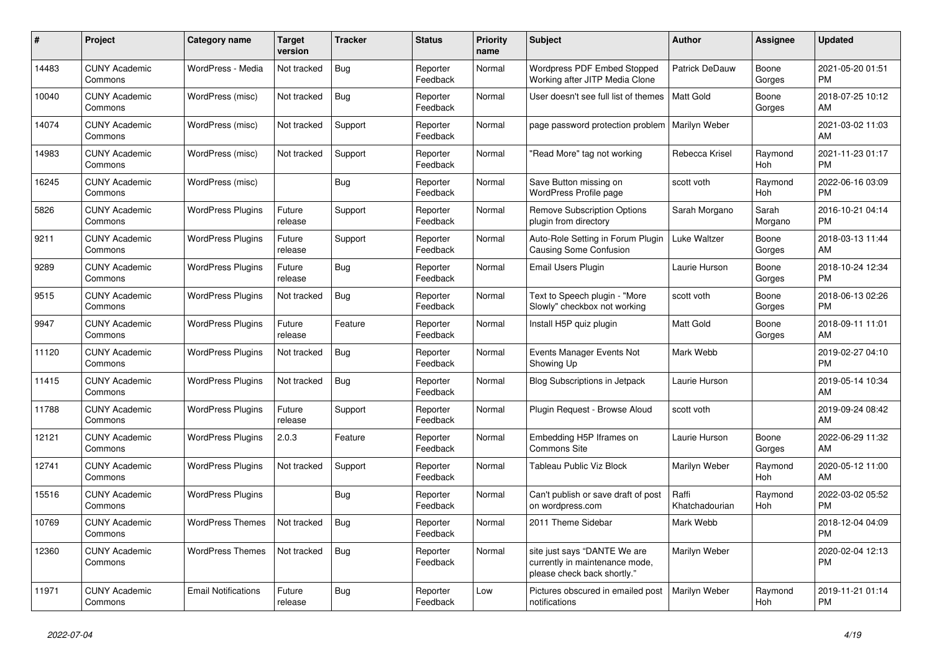| #     | Project                         | <b>Category name</b>       | <b>Target</b><br>version | <b>Tracker</b> | <b>Status</b>        | Priority<br>name | <b>Subject</b>                                                                                | <b>Author</b>           | Assignee         | <b>Updated</b>                |
|-------|---------------------------------|----------------------------|--------------------------|----------------|----------------------|------------------|-----------------------------------------------------------------------------------------------|-------------------------|------------------|-------------------------------|
| 14483 | <b>CUNY Academic</b><br>Commons | WordPress - Media          | Not tracked              | <b>Bug</b>     | Reporter<br>Feedback | Normal           | Wordpress PDF Embed Stopped<br>Working after JITP Media Clone                                 | Patrick DeDauw          | Boone<br>Gorges  | 2021-05-20 01:51<br><b>PM</b> |
| 10040 | <b>CUNY Academic</b><br>Commons | WordPress (misc)           | Not tracked              | Bug            | Reporter<br>Feedback | Normal           | User doesn't see full list of themes                                                          | <b>Matt Gold</b>        | Boone<br>Gorges  | 2018-07-25 10:12<br>AM        |
| 14074 | <b>CUNY Academic</b><br>Commons | WordPress (misc)           | Not tracked              | Support        | Reporter<br>Feedback | Normal           | page password protection problem                                                              | Marilyn Weber           |                  | 2021-03-02 11:03<br>AM        |
| 14983 | <b>CUNY Academic</b><br>Commons | WordPress (misc)           | Not tracked              | Support        | Reporter<br>Feedback | Normal           | "Read More" tag not working                                                                   | Rebecca Krisel          | Raymond<br>Hoh   | 2021-11-23 01:17<br><b>PM</b> |
| 16245 | <b>CUNY Academic</b><br>Commons | WordPress (misc)           |                          | Bug            | Reporter<br>Feedback | Normal           | Save Button missing on<br><b>WordPress Profile page</b>                                       | scott voth              | Raymond<br>Hoh   | 2022-06-16 03:09<br><b>PM</b> |
| 5826  | <b>CUNY Academic</b><br>Commons | <b>WordPress Plugins</b>   | Future<br>release        | Support        | Reporter<br>Feedback | Normal           | <b>Remove Subscription Options</b><br>plugin from directory                                   | Sarah Morgano           | Sarah<br>Morgano | 2016-10-21 04:14<br><b>PM</b> |
| 9211  | <b>CUNY Academic</b><br>Commons | <b>WordPress Plugins</b>   | Future<br>release        | Support        | Reporter<br>Feedback | Normal           | Auto-Role Setting in Forum Plugin<br>Causing Some Confusion                                   | Luke Waltzer            | Boone<br>Gorges  | 2018-03-13 11:44<br>AM        |
| 9289  | <b>CUNY Academic</b><br>Commons | <b>WordPress Plugins</b>   | Future<br>release        | Bug            | Reporter<br>Feedback | Normal           | Email Users Plugin                                                                            | Laurie Hurson           | Boone<br>Gorges  | 2018-10-24 12:34<br><b>PM</b> |
| 9515  | <b>CUNY Academic</b><br>Commons | <b>WordPress Plugins</b>   | Not tracked              | <b>Bug</b>     | Reporter<br>Feedback | Normal           | Text to Speech plugin - "More<br>Slowly" checkbox not working                                 | scott voth              | Boone<br>Gorges  | 2018-06-13 02:26<br><b>PM</b> |
| 9947  | <b>CUNY Academic</b><br>Commons | <b>WordPress Plugins</b>   | Future<br>release        | Feature        | Reporter<br>Feedback | Normal           | Install H5P quiz plugin                                                                       | <b>Matt Gold</b>        | Boone<br>Gorges  | 2018-09-11 11:01<br>AM        |
| 11120 | <b>CUNY Academic</b><br>Commons | <b>WordPress Plugins</b>   | Not tracked              | Bug            | Reporter<br>Feedback | Normal           | Events Manager Events Not<br>Showing Up                                                       | Mark Webb               |                  | 2019-02-27 04:10<br><b>PM</b> |
| 11415 | <b>CUNY Academic</b><br>Commons | <b>WordPress Plugins</b>   | Not tracked              | Bug            | Reporter<br>Feedback | Normal           | Blog Subscriptions in Jetpack                                                                 | Laurie Hurson           |                  | 2019-05-14 10:34<br>AM        |
| 11788 | <b>CUNY Academic</b><br>Commons | <b>WordPress Plugins</b>   | Future<br>release        | Support        | Reporter<br>Feedback | Normal           | Plugin Request - Browse Aloud                                                                 | scott voth              |                  | 2019-09-24 08:42<br>AM        |
| 12121 | <b>CUNY Academic</b><br>Commons | <b>WordPress Plugins</b>   | 2.0.3                    | Feature        | Reporter<br>Feedback | Normal           | Embedding H5P Iframes on<br><b>Commons Site</b>                                               | Laurie Hurson           | Boone<br>Gorges  | 2022-06-29 11:32<br>AM        |
| 12741 | <b>CUNY Academic</b><br>Commons | <b>WordPress Plugins</b>   | Not tracked              | Support        | Reporter<br>Feedback | Normal           | Tableau Public Viz Block                                                                      | Marilyn Weber           | Raymond<br>Hoh   | 2020-05-12 11:00<br>AM        |
| 15516 | <b>CUNY Academic</b><br>Commons | <b>WordPress Plugins</b>   |                          | Bug            | Reporter<br>Feedback | Normal           | Can't publish or save draft of post<br>on wordpress.com                                       | Raffi<br>Khatchadourian | Raymond<br>Hoh   | 2022-03-02 05:52<br><b>PM</b> |
| 10769 | <b>CUNY Academic</b><br>Commons | <b>WordPress Themes</b>    | Not tracked              | <b>Bug</b>     | Reporter<br>Feedback | Normal           | 2011 Theme Sidebar                                                                            | Mark Webb               |                  | 2018-12-04 04:09<br><b>PM</b> |
| 12360 | <b>CUNY Academic</b><br>Commons | <b>WordPress Themes</b>    | Not tracked              | <b>Bug</b>     | Reporter<br>Feedback | Normal           | site just says "DANTE We are<br>currently in maintenance mode,<br>please check back shortly." | Marilyn Weber           |                  | 2020-02-04 12:13<br><b>PM</b> |
| 11971 | <b>CUNY Academic</b><br>Commons | <b>Email Notifications</b> | Future<br>release        | Bug            | Reporter<br>Feedback | Low              | Pictures obscured in emailed post<br>notifications                                            | Marilyn Weber           | Raymond<br>Hoh   | 2019-11-21 01:14<br><b>PM</b> |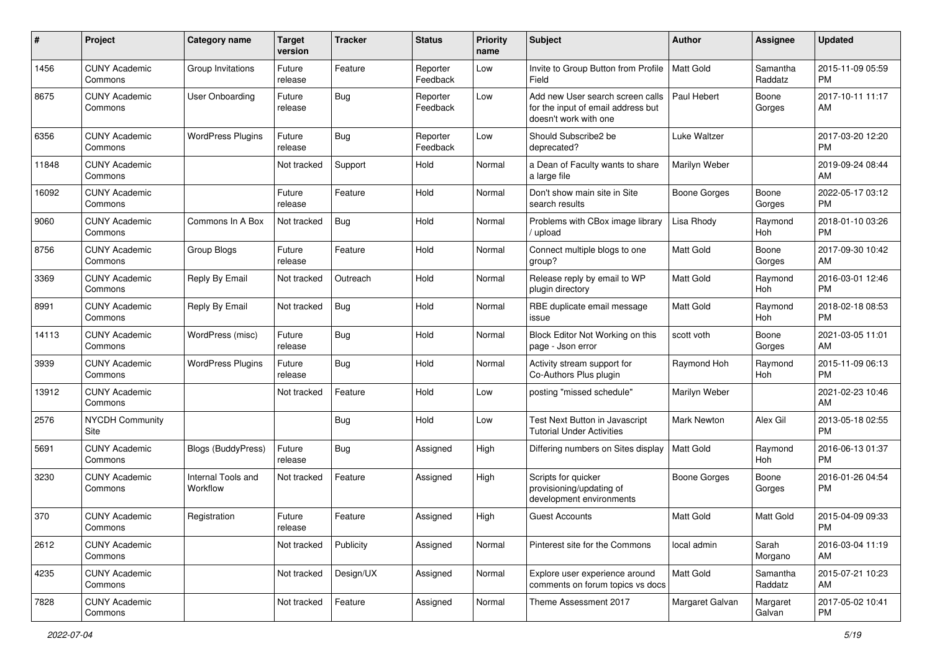| #     | Project                         | Category name                  | <b>Target</b><br>version | Tracker    | <b>Status</b>        | <b>Priority</b><br>name | <b>Subject</b>                                                                                  | Author              | <b>Assignee</b>     | <b>Updated</b>                |
|-------|---------------------------------|--------------------------------|--------------------------|------------|----------------------|-------------------------|-------------------------------------------------------------------------------------------------|---------------------|---------------------|-------------------------------|
| 1456  | <b>CUNY Academic</b><br>Commons | Group Invitations              | Future<br>release        | Feature    | Reporter<br>Feedback | Low                     | Invite to Group Button from Profile<br>Field                                                    | Matt Gold           | Samantha<br>Raddatz | 2015-11-09 05:59<br><b>PM</b> |
| 8675  | <b>CUNY Academic</b><br>Commons | User Onboarding                | Future<br>release        | Bug        | Reporter<br>Feedback | Low                     | Add new User search screen calls<br>for the input of email address but<br>doesn't work with one | Paul Hebert         | Boone<br>Gorges     | 2017-10-11 11:17<br>AM        |
| 6356  | <b>CUNY Academic</b><br>Commons | <b>WordPress Plugins</b>       | Future<br>release        | Bug        | Reporter<br>Feedback | Low                     | Should Subscribe2 be<br>deprecated?                                                             | Luke Waltzer        |                     | 2017-03-20 12:20<br><b>PM</b> |
| 11848 | <b>CUNY Academic</b><br>Commons |                                | Not tracked              | Support    | Hold                 | Normal                  | a Dean of Faculty wants to share<br>a large file                                                | Marilyn Weber       |                     | 2019-09-24 08:44<br>AM        |
| 16092 | <b>CUNY Academic</b><br>Commons |                                | Future<br>release        | Feature    | Hold                 | Normal                  | Don't show main site in Site<br>search results                                                  | <b>Boone Gorges</b> | Boone<br>Gorges     | 2022-05-17 03:12<br><b>PM</b> |
| 9060  | <b>CUNY Academic</b><br>Commons | Commons In A Box               | Not tracked              | Bug        | Hold                 | Normal                  | Problems with CBox image library<br>/ upload                                                    | Lisa Rhody          | Raymond<br>Hoh      | 2018-01-10 03:26<br><b>PM</b> |
| 8756  | <b>CUNY Academic</b><br>Commons | Group Blogs                    | Future<br>release        | Feature    | Hold                 | Normal                  | Connect multiple blogs to one<br>group?                                                         | <b>Matt Gold</b>    | Boone<br>Gorges     | 2017-09-30 10:42<br>AM        |
| 3369  | <b>CUNY Academic</b><br>Commons | Reply By Email                 | Not tracked              | Outreach   | Hold                 | Normal                  | Release reply by email to WP<br>plugin directory                                                | <b>Matt Gold</b>    | Raymond<br>Hoh      | 2016-03-01 12:46<br><b>PM</b> |
| 8991  | <b>CUNY Academic</b><br>Commons | Reply By Email                 | Not tracked              | Bug        | Hold                 | Normal                  | RBE duplicate email message<br>issue                                                            | <b>Matt Gold</b>    | Raymond<br>Hoh      | 2018-02-18 08:53<br><b>PM</b> |
| 14113 | <b>CUNY Academic</b><br>Commons | WordPress (misc)               | Future<br>release        | Bug        | Hold                 | Normal                  | Block Editor Not Working on this<br>page - Json error                                           | scott voth          | Boone<br>Gorges     | 2021-03-05 11:01<br>AM        |
| 3939  | <b>CUNY Academic</b><br>Commons | <b>WordPress Plugins</b>       | Future<br>release        | Bug        | Hold                 | Normal                  | Activity stream support for<br>Co-Authors Plus plugin                                           | Raymond Hoh         | Raymond<br>Hoh      | 2015-11-09 06:13<br><b>PM</b> |
| 13912 | <b>CUNY Academic</b><br>Commons |                                | Not tracked              | Feature    | Hold                 | Low                     | posting "missed schedule"                                                                       | Marilyn Weber       |                     | 2021-02-23 10:46<br>AM        |
| 2576  | <b>NYCDH Community</b><br>Site  |                                |                          | <b>Bug</b> | Hold                 | Low                     | Test Next Button in Javascript<br><b>Tutorial Under Activities</b>                              | <b>Mark Newton</b>  | Alex Gil            | 2013-05-18 02:55<br><b>PM</b> |
| 5691  | <b>CUNY Academic</b><br>Commons | Blogs (BuddyPress)             | Future<br>release        | Bug        | Assigned             | High                    | Differing numbers on Sites display                                                              | Matt Gold           | Raymond<br>Hoh      | 2016-06-13 01:37<br><b>PM</b> |
| 3230  | <b>CUNY Academic</b><br>Commons | Internal Tools and<br>Workflow | Not tracked              | Feature    | Assigned             | High                    | Scripts for quicker<br>provisioning/updating of<br>development environments                     | Boone Gorges        | Boone<br>Gorges     | 2016-01-26 04:54<br><b>PM</b> |
| 370   | <b>CUNY Academic</b><br>Commons | Registration                   | Future<br>release        | Feature    | Assigned             | High                    | <b>Guest Accounts</b>                                                                           | <b>Matt Gold</b>    | Matt Gold           | 2015-04-09 09:33<br>PM        |
| 2612  | <b>CUNY Academic</b><br>Commons |                                | Not tracked              | Publicity  | Assigned             | Normal                  | Pinterest site for the Commons                                                                  | local admin         | Sarah<br>Morgano    | 2016-03-04 11:19<br>AM        |
| 4235  | <b>CUNY Academic</b><br>Commons |                                | Not tracked              | Design/UX  | Assigned             | Normal                  | Explore user experience around<br>comments on forum topics vs docs                              | Matt Gold           | Samantha<br>Raddatz | 2015-07-21 10:23<br>AM        |
| 7828  | <b>CUNY Academic</b><br>Commons |                                | Not tracked              | Feature    | Assigned             | Normal                  | Theme Assessment 2017                                                                           | Margaret Galvan     | Margaret<br>Galvan  | 2017-05-02 10:41<br><b>PM</b> |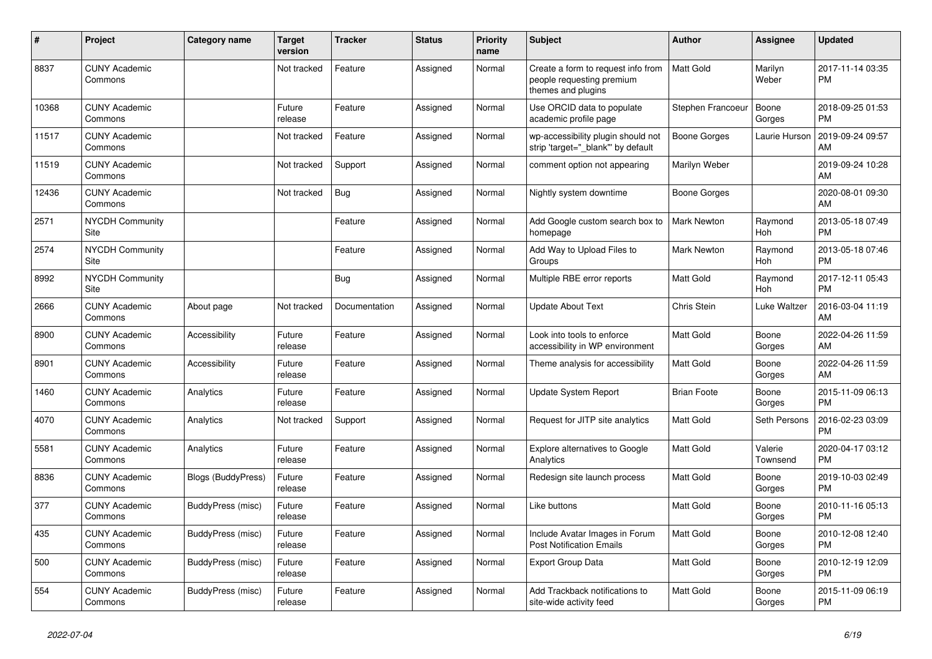| #     | Project                         | Category name             | <b>Target</b><br>version | <b>Tracker</b> | <b>Status</b> | <b>Priority</b><br>name | <b>Subject</b>                                                                        | <b>Author</b>       | Assignee              | <b>Updated</b>                |
|-------|---------------------------------|---------------------------|--------------------------|----------------|---------------|-------------------------|---------------------------------------------------------------------------------------|---------------------|-----------------------|-------------------------------|
| 8837  | <b>CUNY Academic</b><br>Commons |                           | Not tracked              | Feature        | Assigned      | Normal                  | Create a form to request info from<br>people requesting premium<br>themes and plugins | <b>Matt Gold</b>    | Marilyn<br>Weber      | 2017-11-14 03:35<br><b>PM</b> |
| 10368 | <b>CUNY Academic</b><br>Commons |                           | Future<br>release        | Feature        | Assigned      | Normal                  | Use ORCID data to populate<br>academic profile page                                   | Stephen Francoeur   | Boone<br>Gorges       | 2018-09-25 01:53<br><b>PM</b> |
| 11517 | <b>CUNY Academic</b><br>Commons |                           | Not tracked              | Feature        | Assigned      | Normal                  | wp-accessibility plugin should not<br>strip 'target="_blank"' by default              | <b>Boone Gorges</b> | Laurie Hurson         | 2019-09-24 09:57<br>AM        |
| 11519 | <b>CUNY Academic</b><br>Commons |                           | Not tracked              | Support        | Assigned      | Normal                  | comment option not appearing                                                          | Marilyn Weber       |                       | 2019-09-24 10:28<br>AM        |
| 12436 | <b>CUNY Academic</b><br>Commons |                           | Not tracked              | Bug            | Assigned      | Normal                  | Nightly system downtime                                                               | <b>Boone Gorges</b> |                       | 2020-08-01 09:30<br>AM        |
| 2571  | <b>NYCDH Community</b><br>Site  |                           |                          | Feature        | Assigned      | Normal                  | Add Google custom search box to<br>homepage                                           | <b>Mark Newton</b>  | Raymond<br><b>Hoh</b> | 2013-05-18 07:49<br><b>PM</b> |
| 2574  | <b>NYCDH Community</b><br>Site  |                           |                          | Feature        | Assigned      | Normal                  | Add Way to Upload Files to<br>Groups                                                  | Mark Newton         | Raymond<br>Hoh        | 2013-05-18 07:46<br><b>PM</b> |
| 8992  | <b>NYCDH Community</b><br>Site  |                           |                          | Bug            | Assigned      | Normal                  | Multiple RBE error reports                                                            | Matt Gold           | Raymond<br>Hoh        | 2017-12-11 05:43<br><b>PM</b> |
| 2666  | <b>CUNY Academic</b><br>Commons | About page                | Not tracked              | Documentation  | Assigned      | Normal                  | <b>Update About Text</b>                                                              | Chris Stein         | Luke Waltzer          | 2016-03-04 11:19<br>AM        |
| 8900  | <b>CUNY Academic</b><br>Commons | Accessibility             | Future<br>release        | Feature        | Assigned      | Normal                  | Look into tools to enforce<br>accessibility in WP environment                         | Matt Gold           | Boone<br>Gorges       | 2022-04-26 11:59<br>AM        |
| 8901  | <b>CUNY Academic</b><br>Commons | Accessibility             | Future<br>release        | Feature        | Assigned      | Normal                  | Theme analysis for accessibility                                                      | Matt Gold           | Boone<br>Gorges       | 2022-04-26 11:59<br>AM        |
| 1460  | <b>CUNY Academic</b><br>Commons | Analytics                 | Future<br>release        | Feature        | Assigned      | Normal                  | <b>Update System Report</b>                                                           | <b>Brian Foote</b>  | Boone<br>Gorges       | 2015-11-09 06:13<br><b>PM</b> |
| 4070  | <b>CUNY Academic</b><br>Commons | Analytics                 | Not tracked              | Support        | Assigned      | Normal                  | Request for JITP site analytics                                                       | Matt Gold           | Seth Persons          | 2016-02-23 03:09<br><b>PM</b> |
| 5581  | <b>CUNY Academic</b><br>Commons | Analytics                 | Future<br>release        | Feature        | Assigned      | Normal                  | Explore alternatives to Google<br>Analytics                                           | Matt Gold           | Valerie<br>Townsend   | 2020-04-17 03:12<br><b>PM</b> |
| 8836  | <b>CUNY Academic</b><br>Commons | <b>Blogs (BuddyPress)</b> | Future<br>release        | Feature        | Assigned      | Normal                  | Redesign site launch process                                                          | Matt Gold           | Boone<br>Gorges       | 2019-10-03 02:49<br><b>PM</b> |
| 377   | <b>CUNY Academic</b><br>Commons | BuddyPress (misc)         | Future<br>release        | Feature        | Assigned      | Normal                  | Like buttons                                                                          | Matt Gold           | Boone<br>Gorges       | 2010-11-16 05:13<br><b>PM</b> |
| 435   | <b>CUNY Academic</b><br>Commons | BuddyPress (misc)         | Future<br>release        | Feature        | Assigned      | Normal                  | Include Avatar Images in Forum<br><b>Post Notification Emails</b>                     | Matt Gold           | Boone<br>Gorges       | 2010-12-08 12:40<br><b>PM</b> |
| 500   | <b>CUNY Academic</b><br>Commons | <b>BuddyPress (misc)</b>  | Future<br>release        | Feature        | Assigned      | Normal                  | <b>Export Group Data</b>                                                              | Matt Gold           | Boone<br>Gorges       | 2010-12-19 12:09<br><b>PM</b> |
| 554   | <b>CUNY Academic</b><br>Commons | BuddyPress (misc)         | Future<br>release        | Feature        | Assigned      | Normal                  | Add Trackback notifications to<br>site-wide activity feed                             | <b>Matt Gold</b>    | Boone<br>Gorges       | 2015-11-09 06:19<br>PM        |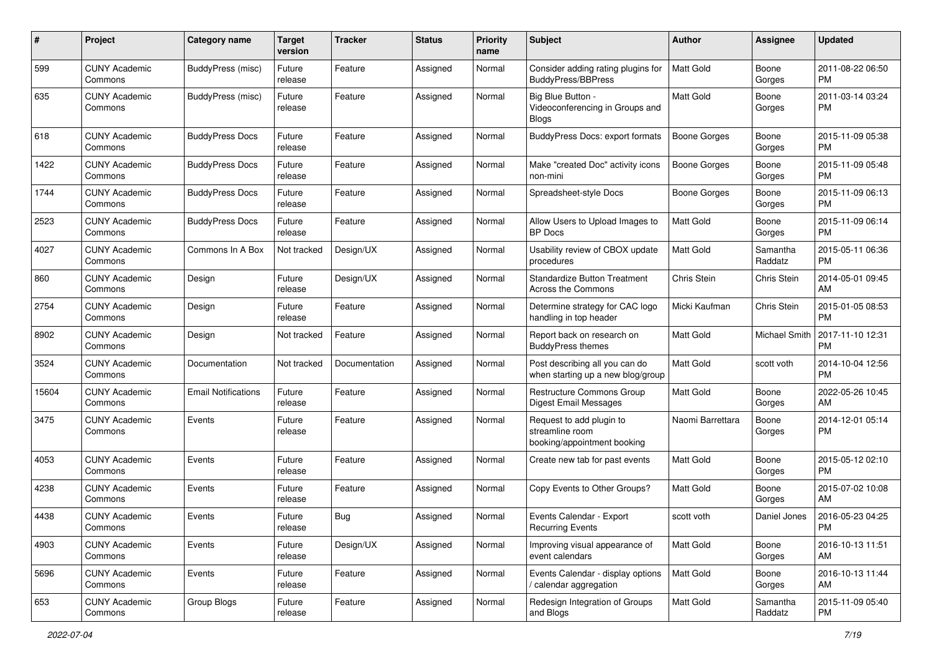| #     | Project                         | <b>Category name</b>       | <b>Target</b><br>version | <b>Tracker</b> | <b>Status</b> | Priority<br>name | <b>Subject</b>                                                             | <b>Author</b>       | <b>Assignee</b>     | <b>Updated</b>                |
|-------|---------------------------------|----------------------------|--------------------------|----------------|---------------|------------------|----------------------------------------------------------------------------|---------------------|---------------------|-------------------------------|
| 599   | <b>CUNY Academic</b><br>Commons | <b>BuddyPress (misc)</b>   | Future<br>release        | Feature        | Assigned      | Normal           | Consider adding rating plugins for<br>BuddyPress/BBPress                   | <b>Matt Gold</b>    | Boone<br>Gorges     | 2011-08-22 06:50<br>PM.       |
| 635   | <b>CUNY Academic</b><br>Commons | BuddyPress (misc)          | Future<br>release        | Feature        | Assigned      | Normal           | Big Blue Button -<br>Videoconferencing in Groups and<br>Blogs              | <b>Matt Gold</b>    | Boone<br>Gorges     | 2011-03-14 03:24<br><b>PM</b> |
| 618   | <b>CUNY Academic</b><br>Commons | <b>BuddyPress Docs</b>     | Future<br>release        | Feature        | Assigned      | Normal           | BuddyPress Docs: export formats                                            | <b>Boone Gorges</b> | Boone<br>Gorges     | 2015-11-09 05:38<br>PM.       |
| 1422  | <b>CUNY Academic</b><br>Commons | <b>BuddyPress Docs</b>     | Future<br>release        | Feature        | Assigned      | Normal           | Make "created Doc" activity icons<br>non-mini                              | <b>Boone Gorges</b> | Boone<br>Gorges     | 2015-11-09 05:48<br>PM.       |
| 1744  | <b>CUNY Academic</b><br>Commons | <b>BuddyPress Docs</b>     | Future<br>release        | Feature        | Assigned      | Normal           | Spreadsheet-style Docs                                                     | Boone Gorges        | Boone<br>Gorges     | 2015-11-09 06:13<br>PM.       |
| 2523  | <b>CUNY Academic</b><br>Commons | <b>BuddyPress Docs</b>     | Future<br>release        | Feature        | Assigned      | Normal           | Allow Users to Upload Images to<br><b>BP</b> Docs                          | Matt Gold           | Boone<br>Gorges     | 2015-11-09 06:14<br><b>PM</b> |
| 4027  | <b>CUNY Academic</b><br>Commons | Commons In A Box           | Not tracked              | Design/UX      | Assigned      | Normal           | Usability review of CBOX update<br>procedures                              | Matt Gold           | Samantha<br>Raddatz | 2015-05-11 06:36<br><b>PM</b> |
| 860   | <b>CUNY Academic</b><br>Commons | Design                     | Future<br>release        | Design/UX      | Assigned      | Normal           | <b>Standardize Button Treatment</b><br><b>Across the Commons</b>           | Chris Stein         | Chris Stein         | 2014-05-01 09:45<br>AM.       |
| 2754  | <b>CUNY Academic</b><br>Commons | Design                     | Future<br>release        | Feature        | Assigned      | Normal           | Determine strategy for CAC logo<br>handling in top header                  | Micki Kaufman       | Chris Stein         | 2015-01-05 08:53<br>PM.       |
| 8902  | <b>CUNY Academic</b><br>Commons | Design                     | Not tracked              | Feature        | Assigned      | Normal           | Report back on research on<br><b>BuddyPress themes</b>                     | Matt Gold           | Michael Smith       | 2017-11-10 12:31<br><b>PM</b> |
| 3524  | <b>CUNY Academic</b><br>Commons | Documentation              | Not tracked              | Documentation  | Assigned      | Normal           | Post describing all you can do<br>when starting up a new blog/group        | Matt Gold           | scott voth          | 2014-10-04 12:56<br>PM.       |
| 15604 | <b>CUNY Academic</b><br>Commons | <b>Email Notifications</b> | Future<br>release        | Feature        | Assigned      | Normal           | Restructure Commons Group<br>Digest Email Messages                         | Matt Gold           | Boone<br>Gorges     | 2022-05-26 10:45<br>AM        |
| 3475  | <b>CUNY Academic</b><br>Commons | Events                     | Future<br>release        | Feature        | Assigned      | Normal           | Request to add plugin to<br>streamline room<br>booking/appointment booking | Naomi Barrettara    | Boone<br>Gorges     | 2014-12-01 05:14<br>PM.       |
| 4053  | <b>CUNY Academic</b><br>Commons | Events                     | Future<br>release        | Feature        | Assigned      | Normal           | Create new tab for past events                                             | <b>Matt Gold</b>    | Boone<br>Gorges     | 2015-05-12 02:10<br>PM.       |
| 4238  | <b>CUNY Academic</b><br>Commons | Events                     | Future<br>release        | Feature        | Assigned      | Normal           | Copy Events to Other Groups?                                               | Matt Gold           | Boone<br>Gorges     | 2015-07-02 10:08<br>AM        |
| 4438  | <b>CUNY Academic</b><br>Commons | Events                     | Future<br>release        | Bug            | Assigned      | Normal           | Events Calendar - Export<br><b>Recurring Events</b>                        | scott voth          | Daniel Jones        | 2016-05-23 04:25<br>PM        |
| 4903  | <b>CUNY Academic</b><br>Commons | Events                     | Future<br>release        | Design/UX      | Assigned      | Normal           | Improving visual appearance of<br>event calendars                          | Matt Gold           | Boone<br>Gorges     | 2016-10-13 11:51<br>AM        |
| 5696  | <b>CUNY Academic</b><br>Commons | Events                     | Future<br>release        | Feature        | Assigned      | Normal           | Events Calendar - display options<br>/ calendar aggregation                | Matt Gold           | Boone<br>Gorges     | 2016-10-13 11:44<br>AM        |
| 653   | <b>CUNY Academic</b><br>Commons | Group Blogs                | Future<br>release        | Feature        | Assigned      | Normal           | Redesign Integration of Groups<br>and Blogs                                | Matt Gold           | Samantha<br>Raddatz | 2015-11-09 05:40<br><b>PM</b> |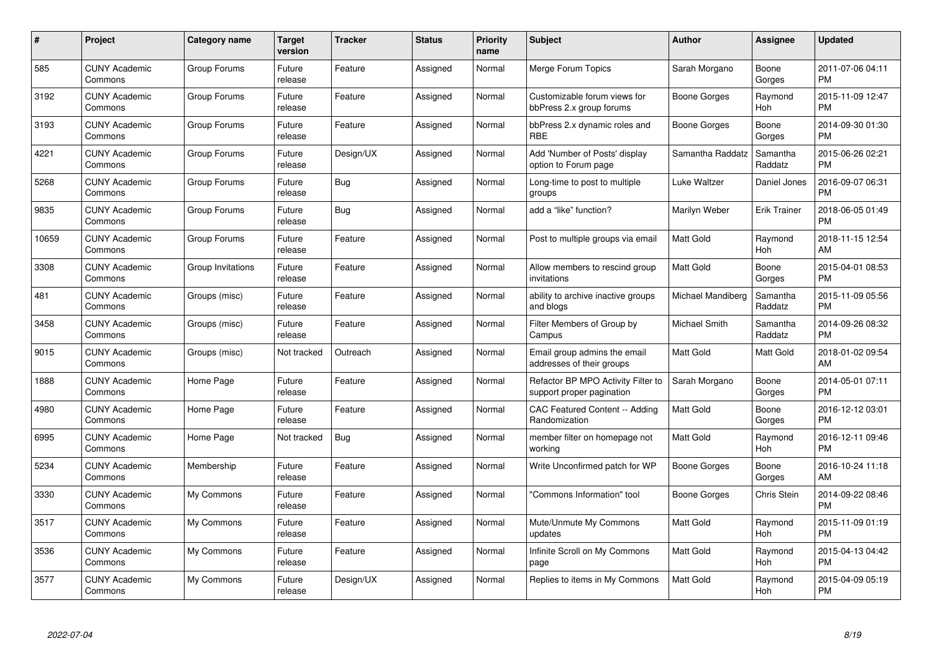| #     | Project                         | <b>Category name</b> | Target<br>version | <b>Tracker</b> | <b>Status</b> | <b>Priority</b><br>name | <b>Subject</b>                                                  | <b>Author</b>     | <b>Assignee</b>     | <b>Updated</b>                |
|-------|---------------------------------|----------------------|-------------------|----------------|---------------|-------------------------|-----------------------------------------------------------------|-------------------|---------------------|-------------------------------|
| 585   | <b>CUNY Academic</b><br>Commons | Group Forums         | Future<br>release | Feature        | Assigned      | Normal                  | Merge Forum Topics                                              | Sarah Morgano     | Boone<br>Gorges     | 2011-07-06 04:11<br><b>PM</b> |
| 3192  | <b>CUNY Academic</b><br>Commons | Group Forums         | Future<br>release | Feature        | Assigned      | Normal                  | Customizable forum views for<br>bbPress 2.x group forums        | Boone Gorges      | Raymond<br>Hoh      | 2015-11-09 12:47<br><b>PM</b> |
| 3193  | <b>CUNY Academic</b><br>Commons | Group Forums         | Future<br>release | Feature        | Assigned      | Normal                  | bbPress 2.x dynamic roles and<br><b>RBE</b>                     | Boone Gorges      | Boone<br>Gorges     | 2014-09-30 01:30<br><b>PM</b> |
| 4221  | <b>CUNY Academic</b><br>Commons | Group Forums         | Future<br>release | Design/UX      | Assigned      | Normal                  | Add 'Number of Posts' display<br>option to Forum page           | Samantha Raddatz  | Samantha<br>Raddatz | 2015-06-26 02:21<br><b>PM</b> |
| 5268  | <b>CUNY Academic</b><br>Commons | Group Forums         | Future<br>release | <b>Bug</b>     | Assigned      | Normal                  | Long-time to post to multiple<br>groups                         | Luke Waltzer      | Daniel Jones        | 2016-09-07 06:31<br><b>PM</b> |
| 9835  | <b>CUNY Academic</b><br>Commons | Group Forums         | Future<br>release | Bug            | Assigned      | Normal                  | add a "like" function?                                          | Marilyn Weber     | <b>Erik Trainer</b> | 2018-06-05 01:49<br><b>PM</b> |
| 10659 | <b>CUNY Academic</b><br>Commons | Group Forums         | Future<br>release | Feature        | Assigned      | Normal                  | Post to multiple groups via email                               | Matt Gold         | Raymond<br>Hoh      | 2018-11-15 12:54<br>AM        |
| 3308  | <b>CUNY Academic</b><br>Commons | Group Invitations    | Future<br>release | Feature        | Assigned      | Normal                  | Allow members to rescind group<br>invitations                   | Matt Gold         | Boone<br>Gorges     | 2015-04-01 08:53<br><b>PM</b> |
| 481   | <b>CUNY Academic</b><br>Commons | Groups (misc)        | Future<br>release | Feature        | Assigned      | Normal                  | ability to archive inactive groups<br>and blogs                 | Michael Mandiberg | Samantha<br>Raddatz | 2015-11-09 05:56<br><b>PM</b> |
| 3458  | <b>CUNY Academic</b><br>Commons | Groups (misc)        | Future<br>release | Feature        | Assigned      | Normal                  | Filter Members of Group by<br>Campus                            | Michael Smith     | Samantha<br>Raddatz | 2014-09-26 08:32<br><b>PM</b> |
| 9015  | <b>CUNY Academic</b><br>Commons | Groups (misc)        | Not tracked       | Outreach       | Assigned      | Normal                  | Email group admins the email<br>addresses of their groups       | Matt Gold         | Matt Gold           | 2018-01-02 09:54<br>AM        |
| 1888  | <b>CUNY Academic</b><br>Commons | Home Page            | Future<br>release | Feature        | Assigned      | Normal                  | Refactor BP MPO Activity Filter to<br>support proper pagination | Sarah Morgano     | Boone<br>Gorges     | 2014-05-01 07:11<br><b>PM</b> |
| 4980  | <b>CUNY Academic</b><br>Commons | Home Page            | Future<br>release | Feature        | Assigned      | Normal                  | CAC Featured Content -- Adding<br>Randomization                 | Matt Gold         | Boone<br>Gorges     | 2016-12-12 03:01<br><b>PM</b> |
| 6995  | <b>CUNY Academic</b><br>Commons | Home Page            | Not tracked       | <b>Bug</b>     | Assigned      | Normal                  | member filter on homepage not<br>working                        | Matt Gold         | Raymond<br>Hoh      | 2016-12-11 09:46<br><b>PM</b> |
| 5234  | <b>CUNY Academic</b><br>Commons | Membership           | Future<br>release | Feature        | Assigned      | Normal                  | Write Unconfirmed patch for WP                                  | Boone Gorges      | Boone<br>Gorges     | 2016-10-24 11:18<br>AM        |
| 3330  | <b>CUNY Academic</b><br>Commons | My Commons           | Future<br>release | Feature        | Assigned      | Normal                  | "Commons Information" tool                                      | Boone Gorges      | Chris Stein         | 2014-09-22 08:46<br><b>PM</b> |
| 3517  | <b>CUNY Academic</b><br>Commons | My Commons           | Future<br>release | Feature        | Assigned      | Normal                  | Mute/Unmute My Commons<br>updates                               | <b>Matt Gold</b>  | Raymond<br>Hoh      | 2015-11-09 01:19<br><b>PM</b> |
| 3536  | <b>CUNY Academic</b><br>Commons | My Commons           | Future<br>release | Feature        | Assigned      | Normal                  | Infinite Scroll on My Commons<br>page                           | Matt Gold         | Raymond<br>Hoh      | 2015-04-13 04:42<br><b>PM</b> |
| 3577  | CUNY Academic<br>Commons        | My Commons           | Future<br>release | Design/UX      | Assigned      | Normal                  | Replies to items in My Commons                                  | <b>Matt Gold</b>  | Raymond<br>Hoh      | 2015-04-09 05:19<br><b>PM</b> |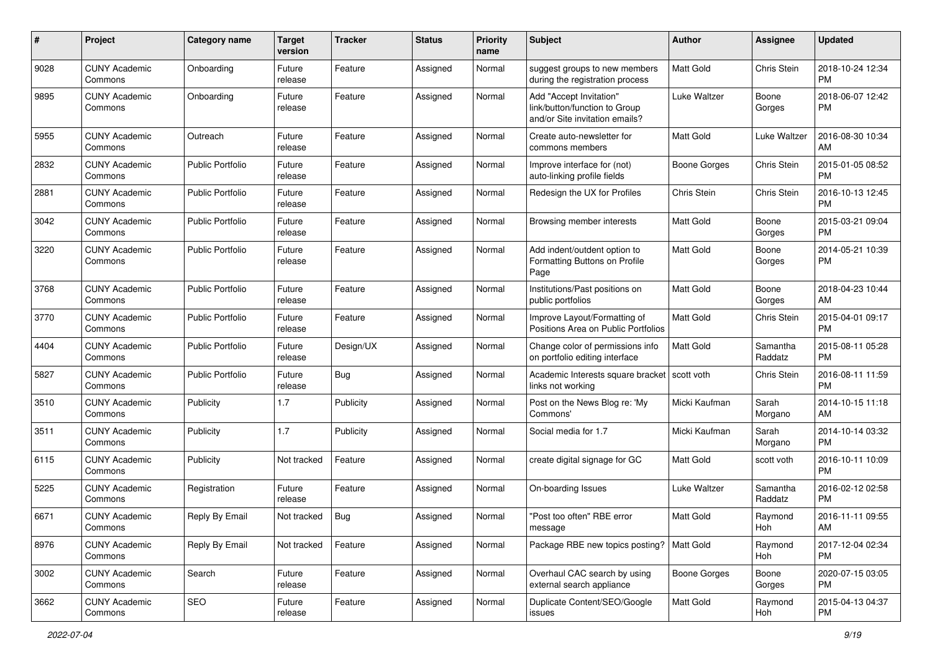| #    | Project                         | <b>Category name</b>    | <b>Target</b><br>version | <b>Tracker</b> | <b>Status</b> | <b>Priority</b><br>name | <b>Subject</b>                                                                             | Author              | <b>Assignee</b>     | <b>Updated</b>                |
|------|---------------------------------|-------------------------|--------------------------|----------------|---------------|-------------------------|--------------------------------------------------------------------------------------------|---------------------|---------------------|-------------------------------|
| 9028 | <b>CUNY Academic</b><br>Commons | Onboarding              | Future<br>release        | Feature        | Assigned      | Normal                  | suggest groups to new members<br>during the registration process                           | <b>Matt Gold</b>    | Chris Stein         | 2018-10-24 12:34<br><b>PM</b> |
| 9895 | <b>CUNY Academic</b><br>Commons | Onboarding              | Future<br>release        | Feature        | Assigned      | Normal                  | Add "Accept Invitation"<br>link/button/function to Group<br>and/or Site invitation emails? | Luke Waltzer        | Boone<br>Gorges     | 2018-06-07 12:42<br><b>PM</b> |
| 5955 | <b>CUNY Academic</b><br>Commons | Outreach                | Future<br>release        | Feature        | Assigned      | Normal                  | Create auto-newsletter for<br>commons members                                              | <b>Matt Gold</b>    | Luke Waltzer        | 2016-08-30 10:34<br>AM        |
| 2832 | <b>CUNY Academic</b><br>Commons | <b>Public Portfolio</b> | Future<br>release        | Feature        | Assigned      | Normal                  | Improve interface for (not)<br>auto-linking profile fields                                 | Boone Gorges        | Chris Stein         | 2015-01-05 08:52<br><b>PM</b> |
| 2881 | <b>CUNY Academic</b><br>Commons | Public Portfolio        | Future<br>release        | Feature        | Assigned      | Normal                  | Redesign the UX for Profiles                                                               | Chris Stein         | Chris Stein         | 2016-10-13 12:45<br><b>PM</b> |
| 3042 | <b>CUNY Academic</b><br>Commons | <b>Public Portfolio</b> | Future<br>release        | Feature        | Assigned      | Normal                  | Browsing member interests                                                                  | <b>Matt Gold</b>    | Boone<br>Gorges     | 2015-03-21 09:04<br><b>PM</b> |
| 3220 | <b>CUNY Academic</b><br>Commons | <b>Public Portfolio</b> | Future<br>release        | Feature        | Assigned      | Normal                  | Add indent/outdent option to<br>Formatting Buttons on Profile<br>Page                      | <b>Matt Gold</b>    | Boone<br>Gorges     | 2014-05-21 10:39<br><b>PM</b> |
| 3768 | <b>CUNY Academic</b><br>Commons | <b>Public Portfolio</b> | Future<br>release        | Feature        | Assigned      | Normal                  | Institutions/Past positions on<br>public portfolios                                        | Matt Gold           | Boone<br>Gorges     | 2018-04-23 10:44<br>AM        |
| 3770 | <b>CUNY Academic</b><br>Commons | Public Portfolio        | Future<br>release        | Feature        | Assigned      | Normal                  | Improve Layout/Formatting of<br>Positions Area on Public Portfolios                        | Matt Gold           | Chris Stein         | 2015-04-01 09:17<br><b>PM</b> |
| 4404 | <b>CUNY Academic</b><br>Commons | <b>Public Portfolio</b> | Future<br>release        | Design/UX      | Assigned      | Normal                  | Change color of permissions info<br>on portfolio editing interface                         | <b>Matt Gold</b>    | Samantha<br>Raddatz | 2015-08-11 05:28<br><b>PM</b> |
| 5827 | <b>CUNY Academic</b><br>Commons | Public Portfolio        | Future<br>release        | Bug            | Assigned      | Normal                  | Academic Interests square bracket   scott voth<br>links not working                        |                     | Chris Stein         | 2016-08-11 11:59<br><b>PM</b> |
| 3510 | <b>CUNY Academic</b><br>Commons | Publicity               | 1.7                      | Publicity      | Assigned      | Normal                  | Post on the News Blog re: 'My<br>Commons'                                                  | Micki Kaufman       | Sarah<br>Morgano    | 2014-10-15 11:18<br>AM        |
| 3511 | <b>CUNY Academic</b><br>Commons | Publicity               | 1.7                      | Publicity      | Assigned      | Normal                  | Social media for 1.7                                                                       | Micki Kaufman       | Sarah<br>Morgano    | 2014-10-14 03:32<br><b>PM</b> |
| 6115 | <b>CUNY Academic</b><br>Commons | Publicity               | Not tracked              | Feature        | Assigned      | Normal                  | create digital signage for GC                                                              | <b>Matt Gold</b>    | scott voth          | 2016-10-11 10:09<br><b>PM</b> |
| 5225 | <b>CUNY Academic</b><br>Commons | Registration            | Future<br>release        | Feature        | Assigned      | Normal                  | On-boarding Issues                                                                         | Luke Waltzer        | Samantha<br>Raddatz | 2016-02-12 02:58<br><b>PM</b> |
| 6671 | <b>CUNY Academic</b><br>Commons | Reply By Email          | Not tracked              | Bug            | Assigned      | Normal                  | "Post too often" RBE error<br>message                                                      | <b>Matt Gold</b>    | Raymond<br>Hoh      | 2016-11-11 09:55<br>AM        |
| 8976 | <b>CUNY Academic</b><br>Commons | Reply By Email          | Not tracked              | Feature        | Assigned      | Normal                  | Package RBE new topics posting?   Matt Gold                                                |                     | Raymond<br>Hoh      | 2017-12-04 02:34<br><b>PM</b> |
| 3002 | <b>CUNY Academic</b><br>Commons | Search                  | Future<br>release        | Feature        | Assigned      | Normal                  | Overhaul CAC search by using<br>external search appliance                                  | <b>Boone Gorges</b> | Boone<br>Gorges     | 2020-07-15 03:05<br><b>PM</b> |
| 3662 | <b>CUNY Academic</b><br>Commons | SEO                     | Future<br>release        | Feature        | Assigned      | Normal                  | Duplicate Content/SEO/Google<br>issues                                                     | Matt Gold           | Raymond<br>Hoh      | 2015-04-13 04:37<br><b>PM</b> |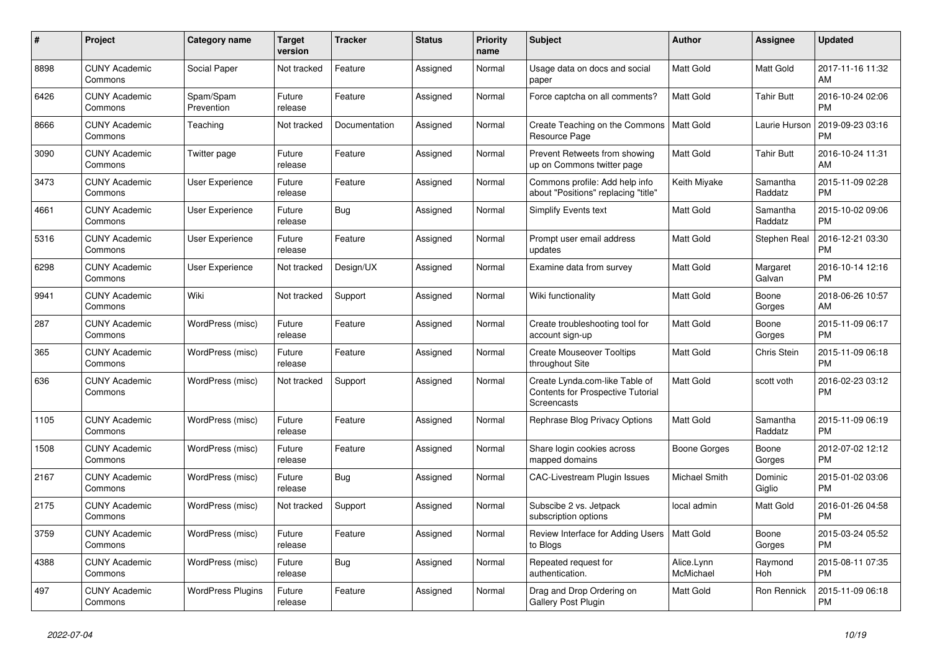| $\pmb{\#}$ | <b>Project</b>                  | <b>Category name</b>     | <b>Target</b><br>version | <b>Tracker</b> | <b>Status</b> | <b>Priority</b><br>name | <b>Subject</b>                                                                                   | <b>Author</b>           | Assignee            | <b>Updated</b>                |
|------------|---------------------------------|--------------------------|--------------------------|----------------|---------------|-------------------------|--------------------------------------------------------------------------------------------------|-------------------------|---------------------|-------------------------------|
| 8898       | <b>CUNY Academic</b><br>Commons | Social Paper             | Not tracked              | Feature        | Assigned      | Normal                  | Usage data on docs and social<br>paper                                                           | <b>Matt Gold</b>        | Matt Gold           | 2017-11-16 11:32<br>AM        |
| 6426       | <b>CUNY Academic</b><br>Commons | Spam/Spam<br>Prevention  | Future<br>release        | Feature        | Assigned      | Normal                  | Force captcha on all comments?                                                                   | <b>Matt Gold</b>        | <b>Tahir Butt</b>   | 2016-10-24 02:06<br><b>PM</b> |
| 8666       | <b>CUNY Academic</b><br>Commons | Teaching                 | Not tracked              | Documentation  | Assigned      | Normal                  | Create Teaching on the Commons<br>Resource Page                                                  | Matt Gold               | Laurie Hurson       | 2019-09-23 03:16<br><b>PM</b> |
| 3090       | <b>CUNY Academic</b><br>Commons | Twitter page             | Future<br>release        | Feature        | Assigned      | Normal                  | Prevent Retweets from showing<br>up on Commons twitter page                                      | Matt Gold               | <b>Tahir Butt</b>   | 2016-10-24 11:31<br>AM        |
| 3473       | <b>CUNY Academic</b><br>Commons | <b>User Experience</b>   | Future<br>release        | Feature        | Assigned      | Normal                  | Commons profile: Add help info<br>about "Positions" replacing "title"                            | Keith Miyake            | Samantha<br>Raddatz | 2015-11-09 02:28<br><b>PM</b> |
| 4661       | <b>CUNY Academic</b><br>Commons | User Experience          | Future<br>release        | Bug            | Assigned      | Normal                  | Simplify Events text                                                                             | Matt Gold               | Samantha<br>Raddatz | 2015-10-02 09:06<br><b>PM</b> |
| 5316       | <b>CUNY Academic</b><br>Commons | <b>User Experience</b>   | Future<br>release        | Feature        | Assigned      | Normal                  | Prompt user email address<br>updates                                                             | <b>Matt Gold</b>        | Stephen Real        | 2016-12-21 03:30<br><b>PM</b> |
| 6298       | <b>CUNY Academic</b><br>Commons | User Experience          | Not tracked              | Design/UX      | Assigned      | Normal                  | Examine data from survey                                                                         | <b>Matt Gold</b>        | Margaret<br>Galvan  | 2016-10-14 12:16<br><b>PM</b> |
| 9941       | <b>CUNY Academic</b><br>Commons | Wiki                     | Not tracked              | Support        | Assigned      | Normal                  | Wiki functionality                                                                               | Matt Gold               | Boone<br>Gorges     | 2018-06-26 10:57<br>AM        |
| 287        | <b>CUNY Academic</b><br>Commons | WordPress (misc)         | Future<br>release        | Feature        | Assigned      | Normal                  | Create troubleshooting tool for<br>account sign-up                                               | Matt Gold               | Boone<br>Gorges     | 2015-11-09 06:17<br><b>PM</b> |
| 365        | <b>CUNY Academic</b><br>Commons | WordPress (misc)         | Future<br>release        | Feature        | Assigned      | Normal                  | <b>Create Mouseover Tooltips</b><br>throughout Site                                              | Matt Gold               | <b>Chris Stein</b>  | 2015-11-09 06:18<br><b>PM</b> |
| 636        | <b>CUNY Academic</b><br>Commons | WordPress (misc)         | Not tracked              | Support        | Assigned      | Normal                  | Create Lynda.com-like Table of<br><b>Contents for Prospective Tutorial</b><br><b>Screencasts</b> | Matt Gold               | scott voth          | 2016-02-23 03:12<br><b>PM</b> |
| 1105       | <b>CUNY Academic</b><br>Commons | WordPress (misc)         | Future<br>release        | Feature        | Assigned      | Normal                  | Rephrase Blog Privacy Options                                                                    | Matt Gold               | Samantha<br>Raddatz | 2015-11-09 06:19<br><b>PM</b> |
| 1508       | <b>CUNY Academic</b><br>Commons | WordPress (misc)         | Future<br>release        | Feature        | Assigned      | Normal                  | Share login cookies across<br>mapped domains                                                     | Boone Gorges            | Boone<br>Gorges     | 2012-07-02 12:12<br><b>PM</b> |
| 2167       | <b>CUNY Academic</b><br>Commons | WordPress (misc)         | Future<br>release        | Bug            | Assigned      | Normal                  | <b>CAC-Livestream Plugin Issues</b>                                                              | Michael Smith           | Dominic<br>Giglio   | 2015-01-02 03:06<br><b>PM</b> |
| 2175       | <b>CUNY Academic</b><br>Commons | WordPress (misc)         | Not tracked              | Support        | Assigned      | Normal                  | Subscibe 2 vs. Jetpack<br>subscription options                                                   | local admin             | Matt Gold           | 2016-01-26 04:58<br><b>PM</b> |
| 3759       | <b>CUNY Academic</b><br>Commons | WordPress (misc)         | Future<br>release        | Feature        | Assigned      | Normal                  | Review Interface for Adding Users<br>to Blogs                                                    | Matt Gold               | Boone<br>Gorges     | 2015-03-24 05:52<br><b>PM</b> |
| 4388       | <b>CUNY Academic</b><br>Commons | WordPress (misc)         | Future<br>release        | Bug            | Assigned      | Normal                  | Repeated request for<br>authentication.                                                          | Alice.Lynn<br>McMichael | Raymond<br>Hoh      | 2015-08-11 07:35<br><b>PM</b> |
| 497        | <b>CUNY Academic</b><br>Commons | <b>WordPress Plugins</b> | Future<br>release        | Feature        | Assigned      | Normal                  | Drag and Drop Ordering on<br>Gallery Post Plugin                                                 | Matt Gold               | Ron Rennick         | 2015-11-09 06:18<br><b>PM</b> |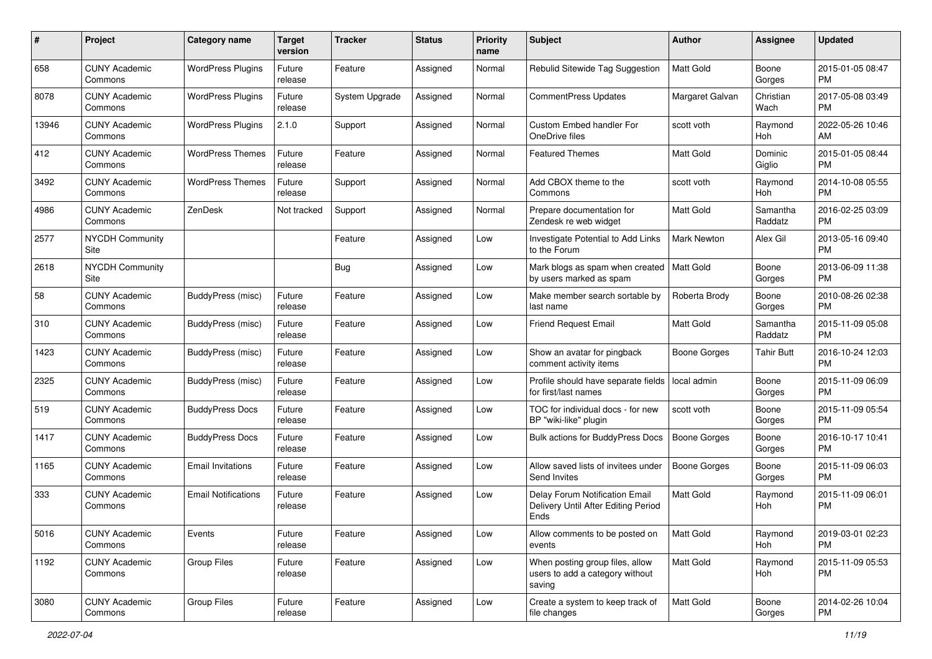| #     | Project                         | <b>Category name</b>       | Target<br>version | <b>Tracker</b> | <b>Status</b> | Priority<br>name | <b>Subject</b>                                                                | <b>Author</b>       | <b>Assignee</b>     | <b>Updated</b>                |
|-------|---------------------------------|----------------------------|-------------------|----------------|---------------|------------------|-------------------------------------------------------------------------------|---------------------|---------------------|-------------------------------|
| 658   | <b>CUNY Academic</b><br>Commons | <b>WordPress Plugins</b>   | Future<br>release | Feature        | Assigned      | Normal           | Rebulid Sitewide Tag Suggestion                                               | <b>Matt Gold</b>    | Boone<br>Gorges     | 2015-01-05 08:47<br><b>PM</b> |
| 8078  | <b>CUNY Academic</b><br>Commons | <b>WordPress Plugins</b>   | Future<br>release | System Upgrade | Assigned      | Normal           | CommentPress Updates                                                          | Margaret Galvan     | Christian<br>Wach   | 2017-05-08 03:49<br><b>PM</b> |
| 13946 | <b>CUNY Academic</b><br>Commons | <b>WordPress Plugins</b>   | 2.1.0             | Support        | Assigned      | Normal           | Custom Embed handler For<br>OneDrive files                                    | scott voth          | Raymond<br>Hoh      | 2022-05-26 10:46<br>AM        |
| 412   | <b>CUNY Academic</b><br>Commons | <b>WordPress Themes</b>    | Future<br>release | Feature        | Assigned      | Normal           | <b>Featured Themes</b>                                                        | Matt Gold           | Dominic<br>Giglio   | 2015-01-05 08:44<br><b>PM</b> |
| 3492  | <b>CUNY Academic</b><br>Commons | <b>WordPress Themes</b>    | Future<br>release | Support        | Assigned      | Normal           | Add CBOX theme to the<br>Commons                                              | scott voth          | Raymond<br>Hoh      | 2014-10-08 05:55<br><b>PM</b> |
| 4986  | <b>CUNY Academic</b><br>Commons | ZenDesk                    | Not tracked       | Support        | Assigned      | Normal           | Prepare documentation for<br>Zendesk re web widget                            | <b>Matt Gold</b>    | Samantha<br>Raddatz | 2016-02-25 03:09<br><b>PM</b> |
| 2577  | <b>NYCDH Community</b><br>Site  |                            |                   | Feature        | Assigned      | Low              | Investigate Potential to Add Links<br>to the Forum                            | <b>Mark Newton</b>  | Alex Gil            | 2013-05-16 09:40<br><b>PM</b> |
| 2618  | <b>NYCDH Community</b><br>Site  |                            |                   | Bug            | Assigned      | Low              | Mark blogs as spam when created<br>by users marked as spam                    | Matt Gold           | Boone<br>Gorges     | 2013-06-09 11:38<br><b>PM</b> |
| 58    | <b>CUNY Academic</b><br>Commons | BuddyPress (misc)          | Future<br>release | Feature        | Assigned      | Low              | Make member search sortable by<br>last name                                   | Roberta Brody       | Boone<br>Gorges     | 2010-08-26 02:38<br><b>PM</b> |
| 310   | <b>CUNY Academic</b><br>Commons | <b>BuddyPress</b> (misc)   | Future<br>release | Feature        | Assigned      | Low              | <b>Friend Request Email</b>                                                   | Matt Gold           | Samantha<br>Raddatz | 2015-11-09 05:08<br><b>PM</b> |
| 1423  | <b>CUNY Academic</b><br>Commons | <b>BuddyPress (misc)</b>   | Future<br>release | Feature        | Assigned      | Low              | Show an avatar for pingback<br>comment activity items                         | Boone Gorges        | Tahir Butt          | 2016-10-24 12:03<br><b>PM</b> |
| 2325  | <b>CUNY Academic</b><br>Commons | <b>BuddyPress (misc)</b>   | Future<br>release | Feature        | Assigned      | Low              | Profile should have separate fields<br>for first/last names                   | local admin         | Boone<br>Gorges     | 2015-11-09 06:09<br><b>PM</b> |
| 519   | <b>CUNY Academic</b><br>Commons | <b>BuddyPress Docs</b>     | Future<br>release | Feature        | Assigned      | Low              | TOC for individual docs - for new<br>BP "wiki-like" plugin                    | scott voth          | Boone<br>Gorges     | 2015-11-09 05:54<br><b>PM</b> |
| 1417  | <b>CUNY Academic</b><br>Commons | <b>BuddyPress Docs</b>     | Future<br>release | Feature        | Assigned      | Low              | Bulk actions for BuddyPress Docs                                              | Boone Gorges        | Boone<br>Gorges     | 2016-10-17 10:41<br><b>PM</b> |
| 1165  | <b>CUNY Academic</b><br>Commons | <b>Email Invitations</b>   | Future<br>release | Feature        | Assigned      | Low              | Allow saved lists of invitees under<br>Send Invites                           | <b>Boone Gorges</b> | Boone<br>Gorges     | 2015-11-09 06:03<br><b>PM</b> |
| 333   | <b>CUNY Academic</b><br>Commons | <b>Email Notifications</b> | Future<br>release | Feature        | Assigned      | Low              | Delay Forum Notification Email<br>Delivery Until After Editing Period<br>Ends | Matt Gold           | Raymond<br>Hoh      | 2015-11-09 06:01<br><b>PM</b> |
| 5016  | <b>CUNY Academic</b><br>Commons | Events                     | Future<br>release | Feature        | Assigned      | Low              | Allow comments to be posted on<br>events                                      | Matt Gold           | Raymond<br>Hoh      | 2019-03-01 02:23<br><b>PM</b> |
| 1192  | <b>CUNY Academic</b><br>Commons | Group Files                | Future<br>release | Feature        | Assigned      | Low              | When posting group files, allow<br>users to add a category without<br>saving  | Matt Gold           | Raymond<br>Hoh      | 2015-11-09 05:53<br><b>PM</b> |
| 3080  | <b>CUNY Academic</b><br>Commons | Group Files                | Future<br>release | Feature        | Assigned      | Low              | Create a system to keep track of<br>file changes                              | Matt Gold           | Boone<br>Gorges     | 2014-02-26 10:04<br>PM        |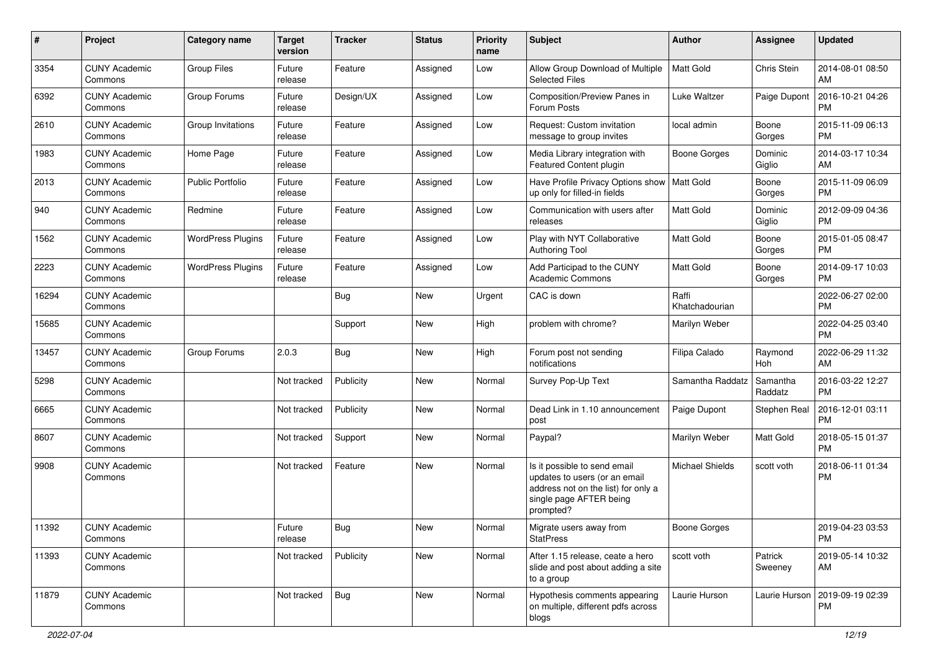| #     | Project                         | Category name            | <b>Target</b><br>version | <b>Tracker</b> | <b>Status</b> | <b>Priority</b><br>name | Subject                                                                                                                                      | Author                  | Assignee            | <b>Updated</b>                |
|-------|---------------------------------|--------------------------|--------------------------|----------------|---------------|-------------------------|----------------------------------------------------------------------------------------------------------------------------------------------|-------------------------|---------------------|-------------------------------|
| 3354  | <b>CUNY Academic</b><br>Commons | <b>Group Files</b>       | Future<br>release        | Feature        | Assigned      | Low                     | Allow Group Download of Multiple<br><b>Selected Files</b>                                                                                    | <b>Matt Gold</b>        | Chris Stein         | 2014-08-01 08:50<br>AM        |
| 6392  | <b>CUNY Academic</b><br>Commons | Group Forums             | Future<br>release        | Design/UX      | Assigned      | Low                     | Composition/Preview Panes in<br>Forum Posts                                                                                                  | Luke Waltzer            | Paige Dupont        | 2016-10-21 04:26<br><b>PM</b> |
| 2610  | <b>CUNY Academic</b><br>Commons | Group Invitations        | Future<br>release        | Feature        | Assigned      | Low                     | Request: Custom invitation<br>message to group invites                                                                                       | local admin             | Boone<br>Gorges     | 2015-11-09 06:13<br><b>PM</b> |
| 1983  | <b>CUNY Academic</b><br>Commons | Home Page                | Future<br>release        | Feature        | Assigned      | Low                     | Media Library integration with<br>Featured Content plugin                                                                                    | Boone Gorges            | Dominic<br>Giglio   | 2014-03-17 10:34<br>AM        |
| 2013  | <b>CUNY Academic</b><br>Commons | <b>Public Portfolio</b>  | Future<br>release        | Feature        | Assigned      | Low                     | Have Profile Privacy Options show   Matt Gold<br>up only for filled-in fields                                                                |                         | Boone<br>Gorges     | 2015-11-09 06:09<br><b>PM</b> |
| 940   | <b>CUNY Academic</b><br>Commons | Redmine                  | Future<br>release        | Feature        | Assigned      | Low                     | Communication with users after<br>releases                                                                                                   | <b>Matt Gold</b>        | Dominic<br>Giglio   | 2012-09-09 04:36<br><b>PM</b> |
| 1562  | <b>CUNY Academic</b><br>Commons | <b>WordPress Plugins</b> | Future<br>release        | Feature        | Assigned      | Low                     | Play with NYT Collaborative<br><b>Authoring Tool</b>                                                                                         | <b>Matt Gold</b>        | Boone<br>Gorges     | 2015-01-05 08:47<br><b>PM</b> |
| 2223  | <b>CUNY Academic</b><br>Commons | <b>WordPress Plugins</b> | Future<br>release        | Feature        | Assigned      | Low                     | Add Participad to the CUNY<br><b>Academic Commons</b>                                                                                        | <b>Matt Gold</b>        | Boone<br>Gorges     | 2014-09-17 10:03<br>PM.       |
| 16294 | <b>CUNY Academic</b><br>Commons |                          |                          | Bug            | New           | Urgent                  | CAC is down                                                                                                                                  | Raffi<br>Khatchadourian |                     | 2022-06-27 02:00<br><b>PM</b> |
| 15685 | <b>CUNY Academic</b><br>Commons |                          |                          | Support        | <b>New</b>    | High                    | problem with chrome?                                                                                                                         | Marilyn Weber           |                     | 2022-04-25 03:40<br><b>PM</b> |
| 13457 | <b>CUNY Academic</b><br>Commons | Group Forums             | 2.0.3                    | Bug            | <b>New</b>    | High                    | Forum post not sending<br>notifications                                                                                                      | Filipa Calado           | Raymond<br>Hoh      | 2022-06-29 11:32<br>AM        |
| 5298  | <b>CUNY Academic</b><br>Commons |                          | Not tracked              | Publicity      | <b>New</b>    | Normal                  | Survey Pop-Up Text                                                                                                                           | Samantha Raddatz        | Samantha<br>Raddatz | 2016-03-22 12:27<br><b>PM</b> |
| 6665  | <b>CUNY Academic</b><br>Commons |                          | Not tracked              | Publicity      | New           | Normal                  | Dead Link in 1.10 announcement<br>post                                                                                                       | Paige Dupont            | Stephen Real        | 2016-12-01 03:11<br><b>PM</b> |
| 8607  | <b>CUNY Academic</b><br>Commons |                          | Not tracked              | Support        | New           | Normal                  | Paypal?                                                                                                                                      | Marilyn Weber           | Matt Gold           | 2018-05-15 01:37<br><b>PM</b> |
| 9908  | <b>CUNY Academic</b><br>Commons |                          | Not tracked              | Feature        | <b>New</b>    | Normal                  | Is it possible to send email<br>updates to users (or an email<br>address not on the list) for only a<br>single page AFTER being<br>prompted? | <b>Michael Shields</b>  | scott voth          | 2018-06-11 01:34<br><b>PM</b> |
| 11392 | <b>CUNY Academic</b><br>Commons |                          | Future<br>release        | Bug            | New           | Normal                  | Migrate users away from<br><b>StatPress</b>                                                                                                  | <b>Boone Gorges</b>     |                     | 2019-04-23 03:53<br><b>PM</b> |
| 11393 | <b>CUNY Academic</b><br>Commons |                          | Not tracked              | Publicity      | New           | Normal                  | After 1.15 release, ceate a hero<br>slide and post about adding a site<br>to a group                                                         | scott voth              | Patrick<br>Sweeney  | 2019-05-14 10:32<br>AM        |
| 11879 | <b>CUNY Academic</b><br>Commons |                          | Not tracked              | Bug            | New           | Normal                  | Hypothesis comments appearing<br>on multiple, different pdfs across<br>blogs                                                                 | Laurie Hurson           | Laurie Hurson       | 2019-09-19 02:39<br>PM.       |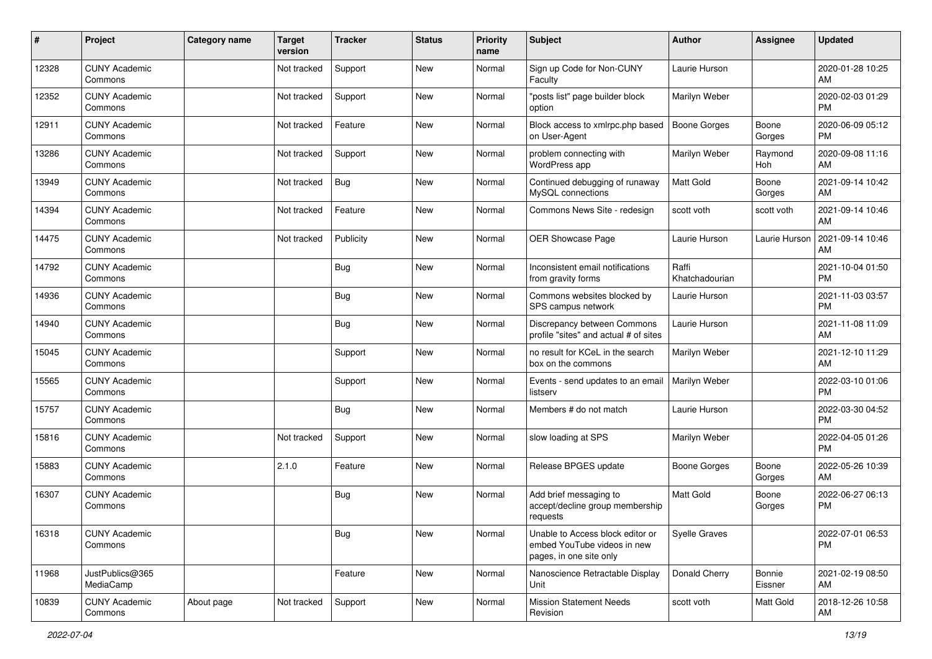| #     | Project                         | <b>Category name</b> | <b>Target</b><br>version | <b>Tracker</b> | <b>Status</b> | <b>Priority</b><br>name | Subject                                                                                    | Author                  | <b>Assignee</b>   | <b>Updated</b>                |
|-------|---------------------------------|----------------------|--------------------------|----------------|---------------|-------------------------|--------------------------------------------------------------------------------------------|-------------------------|-------------------|-------------------------------|
| 12328 | <b>CUNY Academic</b><br>Commons |                      | Not tracked              | Support        | <b>New</b>    | Normal                  | Sign up Code for Non-CUNY<br>Faculty                                                       | Laurie Hurson           |                   | 2020-01-28 10:25<br>AM        |
| 12352 | <b>CUNY Academic</b><br>Commons |                      | Not tracked              | Support        | New           | Normal                  | "posts list" page builder block<br>option                                                  | Marilyn Weber           |                   | 2020-02-03 01:29<br><b>PM</b> |
| 12911 | <b>CUNY Academic</b><br>Commons |                      | Not tracked              | Feature        | <b>New</b>    | Normal                  | Block access to xmlrpc.php based<br>on User-Agent                                          | <b>Boone Gorges</b>     | Boone<br>Gorges   | 2020-06-09 05:12<br><b>PM</b> |
| 13286 | <b>CUNY Academic</b><br>Commons |                      | Not tracked              | Support        | <b>New</b>    | Normal                  | problem connecting with<br>WordPress app                                                   | Marilyn Weber           | Raymond<br>Hoh    | 2020-09-08 11:16<br>AM        |
| 13949 | <b>CUNY Academic</b><br>Commons |                      | Not tracked              | Bug            | <b>New</b>    | Normal                  | Continued debugging of runaway<br>MySQL connections                                        | <b>Matt Gold</b>        | Boone<br>Gorges   | 2021-09-14 10:42<br>AM        |
| 14394 | <b>CUNY Academic</b><br>Commons |                      | Not tracked              | Feature        | New           | Normal                  | Commons News Site - redesign                                                               | scott voth              | scott voth        | 2021-09-14 10:46<br>AM        |
| 14475 | <b>CUNY Academic</b><br>Commons |                      | Not tracked              | Publicity      | <b>New</b>    | Normal                  | OER Showcase Page                                                                          | Laurie Hurson           | Laurie Hurson     | 2021-09-14 10:46<br>AM        |
| 14792 | <b>CUNY Academic</b><br>Commons |                      |                          | Bug            | <b>New</b>    | Normal                  | Inconsistent email notifications<br>from gravity forms                                     | Raffi<br>Khatchadourian |                   | 2021-10-04 01:50<br><b>PM</b> |
| 14936 | <b>CUNY Academic</b><br>Commons |                      |                          | Bug            | New           | Normal                  | Commons websites blocked by<br>SPS campus network                                          | Laurie Hurson           |                   | 2021-11-03 03:57<br><b>PM</b> |
| 14940 | <b>CUNY Academic</b><br>Commons |                      |                          | Bug            | <b>New</b>    | Normal                  | Discrepancy between Commons<br>profile "sites" and actual # of sites                       | Laurie Hurson           |                   | 2021-11-08 11:09<br>AM        |
| 15045 | <b>CUNY Academic</b><br>Commons |                      |                          | Support        | <b>New</b>    | Normal                  | no result for KCeL in the search<br>box on the commons                                     | Marilyn Weber           |                   | 2021-12-10 11:29<br>AM        |
| 15565 | <b>CUNY Academic</b><br>Commons |                      |                          | Support        | <b>New</b>    | Normal                  | Events - send updates to an email<br>listserv                                              | Marilyn Weber           |                   | 2022-03-10 01:06<br><b>PM</b> |
| 15757 | <b>CUNY Academic</b><br>Commons |                      |                          | Bug            | New           | Normal                  | Members # do not match                                                                     | Laurie Hurson           |                   | 2022-03-30 04:52<br><b>PM</b> |
| 15816 | <b>CUNY Academic</b><br>Commons |                      | Not tracked              | Support        | <b>New</b>    | Normal                  | slow loading at SPS                                                                        | Marilyn Weber           |                   | 2022-04-05 01:26<br><b>PM</b> |
| 15883 | <b>CUNY Academic</b><br>Commons |                      | 2.1.0                    | Feature        | <b>New</b>    | Normal                  | Release BPGES update                                                                       | Boone Gorges            | Boone<br>Gorges   | 2022-05-26 10:39<br>AM        |
| 16307 | <b>CUNY Academic</b><br>Commons |                      |                          | Bug            | New           | Normal                  | Add brief messaging to<br>accept/decline group membership<br>requests                      | <b>Matt Gold</b>        | Boone<br>Gorges   | 2022-06-27 06:13<br>PM        |
| 16318 | <b>CUNY Academic</b><br>Commons |                      |                          | Bug            | New           | Normal                  | Unable to Access block editor or<br>embed YouTube videos in new<br>pages, in one site only | Syelle Graves           |                   | 2022-07-01 06:53<br><b>PM</b> |
| 11968 | JustPublics@365<br>MediaCamp    |                      |                          | Feature        | New           | Normal                  | Nanoscience Retractable Display<br>Unit                                                    | Donald Cherry           | Bonnie<br>Eissner | 2021-02-19 08:50<br>AM        |
| 10839 | <b>CUNY Academic</b><br>Commons | About page           | Not tracked              | Support        | New           | Normal                  | <b>Mission Statement Needs</b><br>Revision                                                 | scott voth              | Matt Gold         | 2018-12-26 10:58<br>AM        |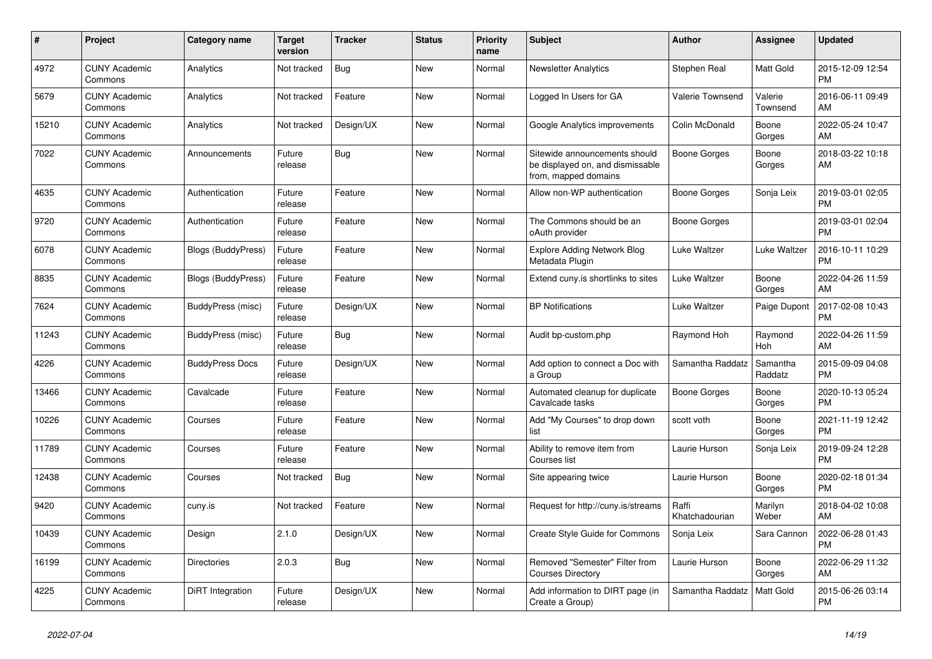| $\#$  | Project                         | <b>Category name</b>      | <b>Target</b><br>version | <b>Tracker</b> | <b>Status</b> | <b>Priority</b><br>name | <b>Subject</b>                                                                            | <b>Author</b>           | Assignee              | <b>Updated</b>                |
|-------|---------------------------------|---------------------------|--------------------------|----------------|---------------|-------------------------|-------------------------------------------------------------------------------------------|-------------------------|-----------------------|-------------------------------|
| 4972  | <b>CUNY Academic</b><br>Commons | Analytics                 | Not tracked              | <b>Bug</b>     | New           | Normal                  | <b>Newsletter Analytics</b>                                                               | Stephen Real            | Matt Gold             | 2015-12-09 12:54<br><b>PM</b> |
| 5679  | <b>CUNY Academic</b><br>Commons | Analytics                 | Not tracked              | Feature        | New           | Normal                  | Logged In Users for GA                                                                    | <b>Valerie Townsend</b> | Valerie<br>Townsend   | 2016-06-11 09:49<br>AM        |
| 15210 | <b>CUNY Academic</b><br>Commons | Analytics                 | Not tracked              | Design/UX      | <b>New</b>    | Normal                  | Google Analytics improvements                                                             | Colin McDonald          | Boone<br>Gorges       | 2022-05-24 10:47<br>AM        |
| 7022  | <b>CUNY Academic</b><br>Commons | Announcements             | Future<br>release        | Bug            | <b>New</b>    | Normal                  | Sitewide announcements should<br>be displayed on, and dismissable<br>from, mapped domains | Boone Gorges            | Boone<br>Gorges       | 2018-03-22 10:18<br>AM        |
| 4635  | <b>CUNY Academic</b><br>Commons | Authentication            | Future<br>release        | Feature        | <b>New</b>    | Normal                  | Allow non-WP authentication                                                               | Boone Gorges            | Sonja Leix            | 2019-03-01 02:05<br><b>PM</b> |
| 9720  | <b>CUNY Academic</b><br>Commons | Authentication            | Future<br>release        | Feature        | <b>New</b>    | Normal                  | The Commons should be an<br>oAuth provider                                                | Boone Gorges            |                       | 2019-03-01 02:04<br><b>PM</b> |
| 6078  | <b>CUNY Academic</b><br>Commons | <b>Blogs (BuddyPress)</b> | Future<br>release        | Feature        | <b>New</b>    | Normal                  | <b>Explore Adding Network Blog</b><br>Metadata Plugin                                     | Luke Waltzer            | Luke Waltzer          | 2016-10-11 10:29<br><b>PM</b> |
| 8835  | <b>CUNY Academic</b><br>Commons | <b>Blogs (BuddyPress)</b> | Future<br>release        | Feature        | <b>New</b>    | Normal                  | Extend cuny.is shortlinks to sites                                                        | Luke Waltzer            | Boone<br>Gorges       | 2022-04-26 11:59<br>AM        |
| 7624  | <b>CUNY Academic</b><br>Commons | BuddyPress (misc)         | Future<br>release        | Design/UX      | <b>New</b>    | Normal                  | <b>BP Notifications</b>                                                                   | Luke Waltzer            | Paige Dupont          | 2017-02-08 10:43<br><b>PM</b> |
| 11243 | <b>CUNY Academic</b><br>Commons | BuddyPress (misc)         | Future<br>release        | <b>Bug</b>     | New           | Normal                  | Audit bp-custom.php                                                                       | Raymond Hoh             | Raymond<br><b>Hoh</b> | 2022-04-26 11:59<br>AM        |
| 4226  | <b>CUNY Academic</b><br>Commons | <b>BuddyPress Docs</b>    | Future<br>release        | Design/UX      | New           | Normal                  | Add option to connect a Doc with<br>a Group                                               | Samantha Raddatz        | Samantha<br>Raddatz   | 2015-09-09 04:08<br><b>PM</b> |
| 13466 | <b>CUNY Academic</b><br>Commons | Cavalcade                 | Future<br>release        | Feature        | <b>New</b>    | Normal                  | Automated cleanup for duplicate<br>Cavalcade tasks                                        | Boone Gorges            | Boone<br>Gorges       | 2020-10-13 05:24<br><b>PM</b> |
| 10226 | <b>CUNY Academic</b><br>Commons | Courses                   | Future<br>release        | Feature        | New           | Normal                  | Add "My Courses" to drop down<br>list                                                     | scott voth              | Boone<br>Gorges       | 2021-11-19 12:42<br><b>PM</b> |
| 11789 | <b>CUNY Academic</b><br>Commons | Courses                   | Future<br>release        | Feature        | New           | Normal                  | Ability to remove item from<br>Courses list                                               | Laurie Hurson           | Sonja Leix            | 2019-09-24 12:28<br><b>PM</b> |
| 12438 | <b>CUNY Academic</b><br>Commons | Courses                   | Not tracked              | <b>Bug</b>     | New           | Normal                  | Site appearing twice                                                                      | Laurie Hurson           | Boone<br>Gorges       | 2020-02-18 01:34<br><b>PM</b> |
| 9420  | <b>CUNY Academic</b><br>Commons | cuny.is                   | Not tracked              | Feature        | <b>New</b>    | Normal                  | Request for http://cuny.is/streams                                                        | Raffi<br>Khatchadourian | Marilyn<br>Weber      | 2018-04-02 10:08<br>AM        |
| 10439 | <b>CUNY Academic</b><br>Commons | Design                    | 2.1.0                    | Design/UX      | <b>New</b>    | Normal                  | Create Style Guide for Commons                                                            | Sonja Leix              | Sara Cannon           | 2022-06-28 01:43<br><b>PM</b> |
| 16199 | <b>CUNY Academic</b><br>Commons | <b>Directories</b>        | 2.0.3                    | Bug            | New           | Normal                  | Removed "Semester" Filter from<br><b>Courses Directory</b>                                | Laurie Hurson           | Boone<br>Gorges       | 2022-06-29 11:32<br>AM        |
| 4225  | <b>CUNY Academic</b><br>Commons | DiRT Integration          | Future<br>release        | Design/UX      | <b>New</b>    | Normal                  | Add information to DIRT page (in<br>Create a Group)                                       | Samantha Raddatz        | Matt Gold             | 2015-06-26 03:14<br><b>PM</b> |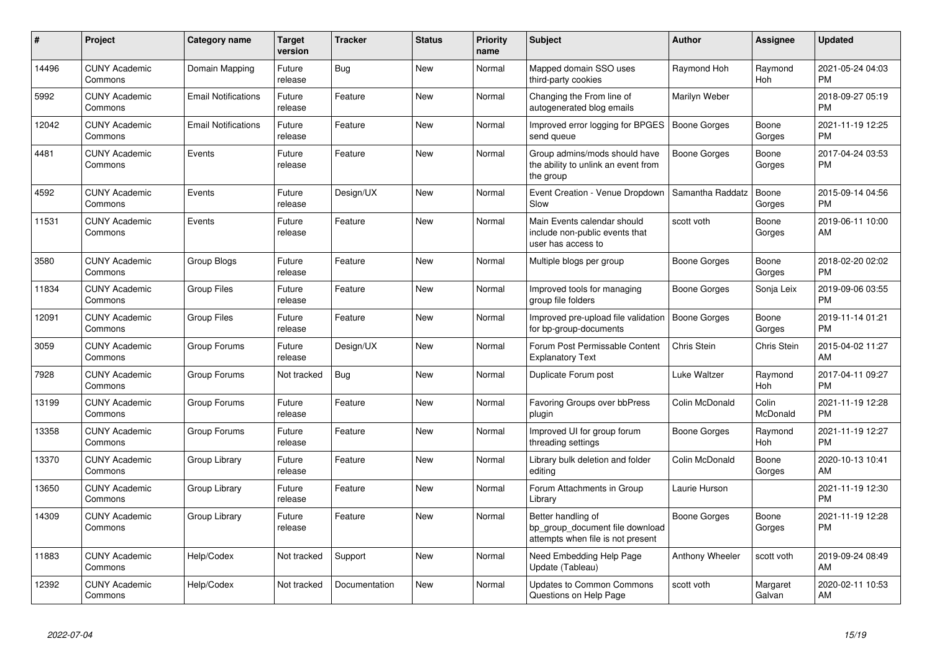| #     | Project                         | <b>Category name</b>       | <b>Target</b><br>version | <b>Tracker</b> | <b>Status</b> | <b>Priority</b><br>name | <b>Subject</b>                                                                             | <b>Author</b>          | Assignee           | <b>Updated</b>                |
|-------|---------------------------------|----------------------------|--------------------------|----------------|---------------|-------------------------|--------------------------------------------------------------------------------------------|------------------------|--------------------|-------------------------------|
| 14496 | <b>CUNY Academic</b><br>Commons | Domain Mapping             | Future<br>release        | Bug            | <b>New</b>    | Normal                  | Mapped domain SSO uses<br>third-party cookies                                              | Raymond Hoh            | Raymond<br>Hoh     | 2021-05-24 04:03<br><b>PM</b> |
| 5992  | <b>CUNY Academic</b><br>Commons | <b>Email Notifications</b> | Future<br>release        | Feature        | <b>New</b>    | Normal                  | Changing the From line of<br>autogenerated blog emails                                     | Marilyn Weber          |                    | 2018-09-27 05:19<br><b>PM</b> |
| 12042 | <b>CUNY Academic</b><br>Commons | <b>Email Notifications</b> | Future<br>release        | Feature        | <b>New</b>    | Normal                  | Improved error logging for BPGES<br>send queue                                             | Boone Gorges           | Boone<br>Gorges    | 2021-11-19 12:25<br><b>PM</b> |
| 4481  | <b>CUNY Academic</b><br>Commons | Events                     | Future<br>release        | Feature        | <b>New</b>    | Normal                  | Group admins/mods should have<br>the ability to unlink an event from<br>the group          | Boone Gorges           | Boone<br>Gorges    | 2017-04-24 03:53<br><b>PM</b> |
| 4592  | <b>CUNY Academic</b><br>Commons | Events                     | Future<br>release        | Design/UX      | New           | Normal                  | Event Creation - Venue Dropdown<br>Slow                                                    | Samantha Raddatz       | Boone<br>Gorges    | 2015-09-14 04:56<br><b>PM</b> |
| 11531 | <b>CUNY Academic</b><br>Commons | Events                     | Future<br>release        | Feature        | New           | Normal                  | Main Events calendar should<br>include non-public events that<br>user has access to        | scott voth             | Boone<br>Gorges    | 2019-06-11 10:00<br>AM        |
| 3580  | <b>CUNY Academic</b><br>Commons | Group Blogs                | Future<br>release        | Feature        | <b>New</b>    | Normal                  | Multiple blogs per group                                                                   | Boone Gorges           | Boone<br>Gorges    | 2018-02-20 02:02<br><b>PM</b> |
| 11834 | <b>CUNY Academic</b><br>Commons | <b>Group Files</b>         | Future<br>release        | Feature        | <b>New</b>    | Normal                  | Improved tools for managing<br>group file folders                                          | Boone Gorges           | Sonja Leix         | 2019-09-06 03:55<br><b>PM</b> |
| 12091 | <b>CUNY Academic</b><br>Commons | <b>Group Files</b>         | Future<br>release        | Feature        | New           | Normal                  | Improved pre-upload file validation   Boone Gorges<br>for bp-group-documents               |                        | Boone<br>Gorges    | 2019-11-14 01:21<br><b>PM</b> |
| 3059  | <b>CUNY Academic</b><br>Commons | Group Forums               | Future<br>release        | Design/UX      | New           | Normal                  | Forum Post Permissable Content<br><b>Explanatory Text</b>                                  | Chris Stein            | Chris Stein        | 2015-04-02 11:27<br>AM        |
| 7928  | <b>CUNY Academic</b><br>Commons | Group Forums               | Not tracked              | Bug            | New           | Normal                  | Duplicate Forum post                                                                       | Luke Waltzer           | Raymond<br>Hoh     | 2017-04-11 09:27<br><b>PM</b> |
| 13199 | <b>CUNY Academic</b><br>Commons | Group Forums               | Future<br>release        | Feature        | <b>New</b>    | Normal                  | Favoring Groups over bbPress<br>plugin                                                     | Colin McDonald         | Colin<br>McDonald  | 2021-11-19 12:28<br><b>PM</b> |
| 13358 | <b>CUNY Academic</b><br>Commons | Group Forums               | Future<br>release        | Feature        | <b>New</b>    | Normal                  | Improved UI for group forum<br>threading settings                                          | Boone Gorges           | Raymond<br>Hoh     | 2021-11-19 12:27<br><b>PM</b> |
| 13370 | <b>CUNY Academic</b><br>Commons | Group Library              | Future<br>release        | Feature        | <b>New</b>    | Normal                  | Library bulk deletion and folder<br>editing                                                | Colin McDonald         | Boone<br>Gorges    | 2020-10-13 10:41<br>AM        |
| 13650 | <b>CUNY Academic</b><br>Commons | Group Library              | Future<br>release        | Feature        | New           | Normal                  | Forum Attachments in Group<br>Library                                                      | Laurie Hurson          |                    | 2021-11-19 12:30<br><b>PM</b> |
| 14309 | <b>CUNY Academic</b><br>Commons | Group Library              | Future<br>release        | Feature        | New           | Normal                  | Better handling of<br>bp_group_document file download<br>attempts when file is not present | Boone Gorges           | Boone<br>Gorges    | 2021-11-19 12:28<br><b>PM</b> |
| 11883 | <b>CUNY Academic</b><br>Commons | Help/Codex                 | Not tracked              | Support        | <b>New</b>    | Normal                  | Need Embedding Help Page<br>Update (Tableau)                                               | <b>Anthony Wheeler</b> | scott voth         | 2019-09-24 08:49<br>AM        |
| 12392 | <b>CUNY Academic</b><br>Commons | Help/Codex                 | Not tracked              | Documentation  | <b>New</b>    | Normal                  | <b>Updates to Common Commons</b><br>Questions on Help Page                                 | scott voth             | Margaret<br>Galvan | 2020-02-11 10:53<br>AM        |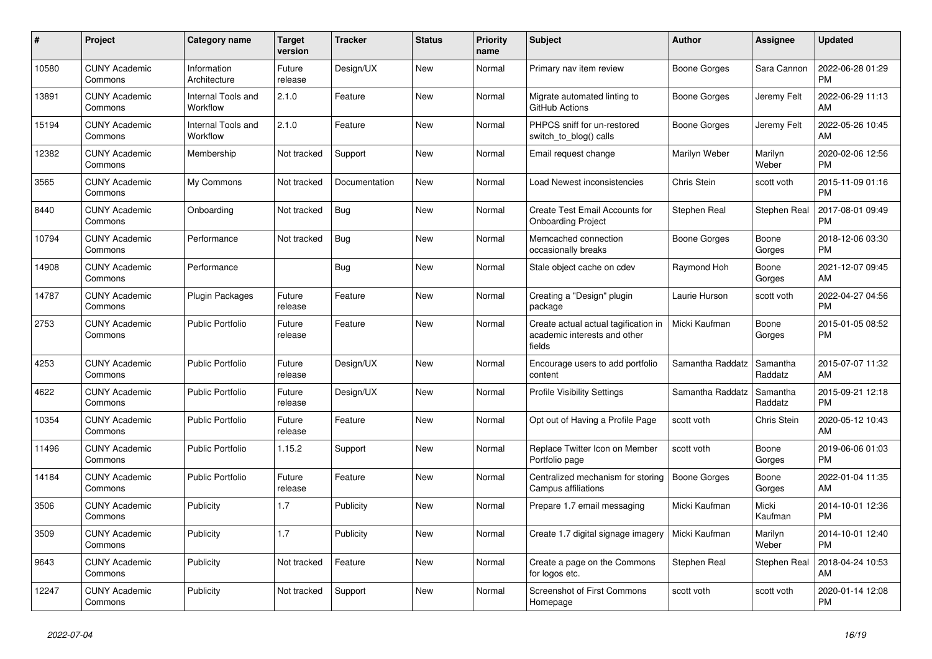| $\pmb{\#}$ | <b>Project</b>                  | <b>Category name</b>           | <b>Target</b><br>version | <b>Tracker</b> | <b>Status</b> | <b>Priority</b><br>name | <b>Subject</b>                                                                 | <b>Author</b>       | Assignee            | <b>Updated</b>                |
|------------|---------------------------------|--------------------------------|--------------------------|----------------|---------------|-------------------------|--------------------------------------------------------------------------------|---------------------|---------------------|-------------------------------|
| 10580      | <b>CUNY Academic</b><br>Commons | Information<br>Architecture    | Future<br>release        | Design/UX      | New           | Normal                  | Primary nav item review                                                        | Boone Gorges        | Sara Cannon         | 2022-06-28 01:29<br><b>PM</b> |
| 13891      | <b>CUNY Academic</b><br>Commons | Internal Tools and<br>Workflow | 2.1.0                    | Feature        | New           | Normal                  | Migrate automated linting to<br>GitHub Actions                                 | Boone Gorges        | Jeremy Felt         | 2022-06-29 11:13<br>AM        |
| 15194      | <b>CUNY Academic</b><br>Commons | Internal Tools and<br>Workflow | 2.1.0                    | Feature        | <b>New</b>    | Normal                  | PHPCS sniff for un-restored<br>switch to blog() calls                          | Boone Gorges        | Jeremy Felt         | 2022-05-26 10:45<br>AM        |
| 12382      | <b>CUNY Academic</b><br>Commons | Membership                     | Not tracked              | Support        | New           | Normal                  | Email request change                                                           | Marilyn Weber       | Marilyn<br>Weber    | 2020-02-06 12:56<br><b>PM</b> |
| 3565       | <b>CUNY Academic</b><br>Commons | My Commons                     | Not tracked              | Documentation  | New           | Normal                  | Load Newest inconsistencies                                                    | Chris Stein         | scott voth          | 2015-11-09 01:16<br><b>PM</b> |
| 8440       | <b>CUNY Academic</b><br>Commons | Onboarding                     | Not tracked              | Bug            | New           | Normal                  | Create Test Email Accounts for<br><b>Onboarding Project</b>                    | Stephen Real        | Stephen Real        | 2017-08-01 09:49<br><b>PM</b> |
| 10794      | <b>CUNY Academic</b><br>Commons | Performance                    | Not tracked              | Bug            | <b>New</b>    | Normal                  | Memcached connection<br>occasionally breaks                                    | Boone Gorges        | Boone<br>Gorges     | 2018-12-06 03:30<br><b>PM</b> |
| 14908      | <b>CUNY Academic</b><br>Commons | Performance                    |                          | Bug            | New           | Normal                  | Stale object cache on cdev                                                     | Raymond Hoh         | Boone<br>Gorges     | 2021-12-07 09:45<br>AM        |
| 14787      | <b>CUNY Academic</b><br>Commons | <b>Plugin Packages</b>         | Future<br>release        | Feature        | New           | Normal                  | Creating a "Design" plugin<br>package                                          | Laurie Hurson       | scott voth          | 2022-04-27 04:56<br><b>PM</b> |
| 2753       | <b>CUNY Academic</b><br>Commons | <b>Public Portfolio</b>        | Future<br>release        | Feature        | <b>New</b>    | Normal                  | Create actual actual tagification in<br>academic interests and other<br>fields | Micki Kaufman       | Boone<br>Gorges     | 2015-01-05 08:52<br><b>PM</b> |
| 4253       | <b>CUNY Academic</b><br>Commons | <b>Public Portfolio</b>        | Future<br>release        | Design/UX      | New           | Normal                  | Encourage users to add portfolio<br>content                                    | Samantha Raddatz    | Samantha<br>Raddatz | 2015-07-07 11:32<br>AM        |
| 4622       | <b>CUNY Academic</b><br>Commons | <b>Public Portfolio</b>        | Future<br>release        | Design/UX      | <b>New</b>    | Normal                  | <b>Profile Visibility Settings</b>                                             | Samantha Raddatz    | Samantha<br>Raddatz | 2015-09-21 12:18<br><b>PM</b> |
| 10354      | <b>CUNY Academic</b><br>Commons | <b>Public Portfolio</b>        | Future<br>release        | Feature        | <b>New</b>    | Normal                  | Opt out of Having a Profile Page                                               | scott voth          | Chris Stein         | 2020-05-12 10:43<br>AM        |
| 11496      | <b>CUNY Academic</b><br>Commons | <b>Public Portfolio</b>        | 1.15.2                   | Support        | New           | Normal                  | Replace Twitter Icon on Member<br>Portfolio page                               | scott voth          | Boone<br>Gorges     | 2019-06-06 01:03<br><b>PM</b> |
| 14184      | <b>CUNY Academic</b><br>Commons | <b>Public Portfolio</b>        | Future<br>release        | Feature        | <b>New</b>    | Normal                  | Centralized mechanism for storing<br>Campus affiliations                       | <b>Boone Gorges</b> | Boone<br>Gorges     | 2022-01-04 11:35<br>AM        |
| 3506       | <b>CUNY Academic</b><br>Commons | Publicity                      | 1.7                      | Publicity      | <b>New</b>    | Normal                  | Prepare 1.7 email messaging                                                    | Micki Kaufman       | Micki<br>Kaufman    | 2014-10-01 12:36<br><b>PM</b> |
| 3509       | <b>CUNY Academic</b><br>Commons | Publicity                      | 1.7                      | Publicity      | New           | Normal                  | Create 1.7 digital signage imagery                                             | Micki Kaufman       | Marilyn<br>Weber    | 2014-10-01 12:40<br><b>PM</b> |
| 9643       | <b>CUNY Academic</b><br>Commons | Publicity                      | Not tracked              | Feature        | <b>New</b>    | Normal                  | Create a page on the Commons<br>for logos etc.                                 | Stephen Real        | Stephen Real        | 2018-04-24 10:53<br>AM        |
| 12247      | <b>CUNY Academic</b><br>Commons | Publicity                      | Not tracked              | Support        | <b>New</b>    | Normal                  | <b>Screenshot of First Commons</b><br>Homepage                                 | scott voth          | scott voth          | 2020-01-14 12:08<br><b>PM</b> |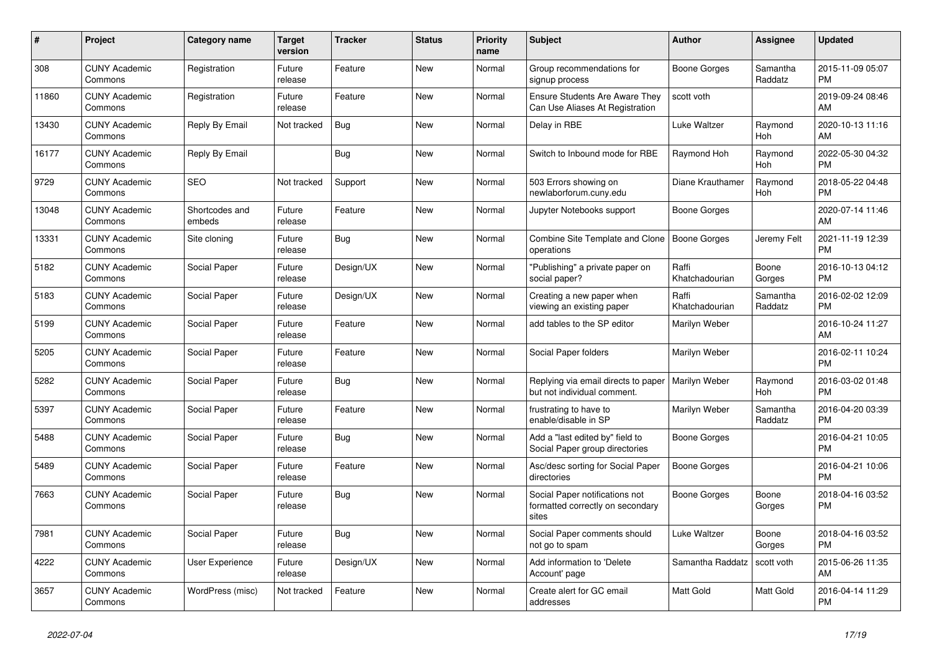| $\pmb{\#}$ | <b>Project</b>                  | <b>Category name</b>     | <b>Target</b><br>version | <b>Tracker</b> | <b>Status</b> | <b>Priority</b><br>name | <b>Subject</b>                                                              | <b>Author</b>           | Assignee            | <b>Updated</b>                |
|------------|---------------------------------|--------------------------|--------------------------|----------------|---------------|-------------------------|-----------------------------------------------------------------------------|-------------------------|---------------------|-------------------------------|
| 308        | <b>CUNY Academic</b><br>Commons | Registration             | Future<br>release        | Feature        | <b>New</b>    | Normal                  | Group recommendations for<br>signup process                                 | Boone Gorges            | Samantha<br>Raddatz | 2015-11-09 05:07<br><b>PM</b> |
| 11860      | <b>CUNY Academic</b><br>Commons | Registration             | Future<br>release        | Feature        | New           | Normal                  | <b>Ensure Students Are Aware They</b><br>Can Use Aliases At Registration    | scott voth              |                     | 2019-09-24 08:46<br>AM        |
| 13430      | <b>CUNY Academic</b><br>Commons | Reply By Email           | Not tracked              | Bug            | New           | Normal                  | Delay in RBE                                                                | Luke Waltzer            | Raymond<br>Hoh      | 2020-10-13 11:16<br>AM        |
| 16177      | <b>CUNY Academic</b><br>Commons | Reply By Email           |                          | Bug            | <b>New</b>    | Normal                  | Switch to Inbound mode for RBE                                              | Raymond Hoh             | Raymond<br>Hoh      | 2022-05-30 04:32<br><b>PM</b> |
| 9729       | <b>CUNY Academic</b><br>Commons | <b>SEO</b>               | Not tracked              | Support        | <b>New</b>    | Normal                  | 503 Errors showing on<br>newlaborforum.cuny.edu                             | Diane Krauthamer        | Raymond<br>Hoh      | 2018-05-22 04:48<br><b>PM</b> |
| 13048      | <b>CUNY Academic</b><br>Commons | Shortcodes and<br>embeds | Future<br>release        | Feature        | New           | Normal                  | Jupyter Notebooks support                                                   | Boone Gorges            |                     | 2020-07-14 11:46<br>AM        |
| 13331      | <b>CUNY Academic</b><br>Commons | Site cloning             | Future<br>release        | Bug            | <b>New</b>    | Normal                  | Combine Site Template and Clone<br>operations                               | Boone Gorges            | Jeremy Felt         | 2021-11-19 12:39<br><b>PM</b> |
| 5182       | <b>CUNY Academic</b><br>Commons | Social Paper             | Future<br>release        | Design/UX      | New           | Normal                  | "Publishing" a private paper on<br>social paper?                            | Raffi<br>Khatchadourian | Boone<br>Gorges     | 2016-10-13 04:12<br><b>PM</b> |
| 5183       | <b>CUNY Academic</b><br>Commons | Social Paper             | Future<br>release        | Design/UX      | <b>New</b>    | Normal                  | Creating a new paper when<br>viewing an existing paper                      | Raffi<br>Khatchadourian | Samantha<br>Raddatz | 2016-02-02 12:09<br><b>PM</b> |
| 5199       | <b>CUNY Academic</b><br>Commons | Social Paper             | Future<br>release        | Feature        | <b>New</b>    | Normal                  | add tables to the SP editor                                                 | Marilyn Weber           |                     | 2016-10-24 11:27<br>AM        |
| 5205       | <b>CUNY Academic</b><br>Commons | Social Paper             | Future<br>release        | Feature        | New           | Normal                  | Social Paper folders                                                        | Marilyn Weber           |                     | 2016-02-11 10:24<br><b>PM</b> |
| 5282       | <b>CUNY Academic</b><br>Commons | Social Paper             | Future<br>release        | Bug            | New           | Normal                  | Replying via email directs to paper<br>but not individual comment.          | Marilyn Weber           | Raymond<br>Hoh      | 2016-03-02 01:48<br><b>PM</b> |
| 5397       | <b>CUNY Academic</b><br>Commons | Social Paper             | Future<br>release        | Feature        | <b>New</b>    | Normal                  | frustrating to have to<br>enable/disable in SP                              | Marilyn Weber           | Samantha<br>Raddatz | 2016-04-20 03:39<br><b>PM</b> |
| 5488       | <b>CUNY Academic</b><br>Commons | Social Paper             | Future<br>release        | Bug            | <b>New</b>    | Normal                  | Add a "last edited by" field to<br>Social Paper group directories           | Boone Gorges            |                     | 2016-04-21 10:05<br><b>PM</b> |
| 5489       | <b>CUNY Academic</b><br>Commons | Social Paper             | Future<br>release        | Feature        | <b>New</b>    | Normal                  | Asc/desc sorting for Social Paper<br>directories                            | Boone Gorges            |                     | 2016-04-21 10:06<br><b>PM</b> |
| 7663       | <b>CUNY Academic</b><br>Commons | Social Paper             | Future<br>release        | Bug            | <b>New</b>    | Normal                  | Social Paper notifications not<br>formatted correctly on secondary<br>sites | Boone Gorges            | Boone<br>Gorges     | 2018-04-16 03:52<br><b>PM</b> |
| 7981       | <b>CUNY Academic</b><br>Commons | Social Paper             | Future<br>release        | Bug            | New           | Normal                  | Social Paper comments should<br>not go to spam                              | Luke Waltzer            | Boone<br>Gorges     | 2018-04-16 03:52<br><b>PM</b> |
| 4222       | <b>CUNY Academic</b><br>Commons | User Experience          | Future<br>release        | Design/UX      | New           | Normal                  | Add information to 'Delete<br>Account' page                                 | Samantha Raddatz        | scott voth          | 2015-06-26 11:35<br>AM        |
| 3657       | <b>CUNY Academic</b><br>Commons | WordPress (misc)         | Not tracked              | Feature        | <b>New</b>    | Normal                  | Create alert for GC email<br>addresses                                      | Matt Gold               | Matt Gold           | 2016-04-14 11:29<br><b>PM</b> |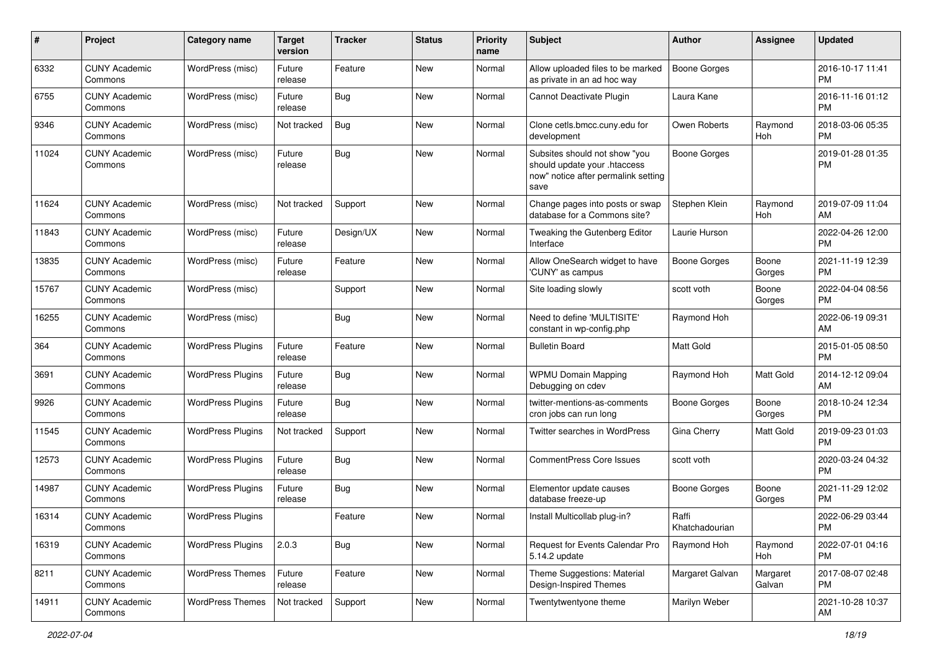| #     | Project                         | <b>Category name</b>     | <b>Target</b><br>version | <b>Tracker</b> | <b>Status</b> | <b>Priority</b><br>name | Subject                                                                                                      | Author                  | Assignee           | <b>Updated</b>                |
|-------|---------------------------------|--------------------------|--------------------------|----------------|---------------|-------------------------|--------------------------------------------------------------------------------------------------------------|-------------------------|--------------------|-------------------------------|
| 6332  | <b>CUNY Academic</b><br>Commons | WordPress (misc)         | Future<br>release        | Feature        | <b>New</b>    | Normal                  | Allow uploaded files to be marked<br>as private in an ad hoc way                                             | <b>Boone Gorges</b>     |                    | 2016-10-17 11:41<br><b>PM</b> |
| 6755  | <b>CUNY Academic</b><br>Commons | WordPress (misc)         | Future<br>release        | Bug            | New           | Normal                  | Cannot Deactivate Plugin                                                                                     | Laura Kane              |                    | 2016-11-16 01:12<br><b>PM</b> |
| 9346  | <b>CUNY Academic</b><br>Commons | WordPress (misc)         | Not tracked              | Bug            | New           | Normal                  | Clone cetls.bmcc.cuny.edu for<br>development                                                                 | Owen Roberts            | Raymond<br>Hoh     | 2018-03-06 05:35<br><b>PM</b> |
| 11024 | <b>CUNY Academic</b><br>Commons | WordPress (misc)         | Future<br>release        | Bug            | <b>New</b>    | Normal                  | Subsites should not show "you<br>should update your .htaccess<br>now" notice after permalink setting<br>save | Boone Gorges            |                    | 2019-01-28 01:35<br><b>PM</b> |
| 11624 | <b>CUNY Academic</b><br>Commons | WordPress (misc)         | Not tracked              | Support        | New           | Normal                  | Change pages into posts or swap<br>database for a Commons site?                                              | Stephen Klein           | Raymond<br>Hoh     | 2019-07-09 11:04<br>AM        |
| 11843 | <b>CUNY Academic</b><br>Commons | WordPress (misc)         | Future<br>release        | Design/UX      | <b>New</b>    | Normal                  | Tweaking the Gutenberg Editor<br>Interface                                                                   | Laurie Hurson           |                    | 2022-04-26 12:00<br><b>PM</b> |
| 13835 | <b>CUNY Academic</b><br>Commons | WordPress (misc)         | Future<br>release        | Feature        | <b>New</b>    | Normal                  | Allow OneSearch widget to have<br>'CUNY' as campus                                                           | Boone Gorges            | Boone<br>Gorges    | 2021-11-19 12:39<br><b>PM</b> |
| 15767 | <b>CUNY Academic</b><br>Commons | WordPress (misc)         |                          | Support        | New           | Normal                  | Site loading slowly                                                                                          | scott voth              | Boone<br>Gorges    | 2022-04-04 08:56<br><b>PM</b> |
| 16255 | <b>CUNY Academic</b><br>Commons | WordPress (misc)         |                          | Bug            | New           | Normal                  | Need to define 'MULTISITE'<br>constant in wp-config.php                                                      | Raymond Hoh             |                    | 2022-06-19 09:31<br>AM        |
| 364   | <b>CUNY Academic</b><br>Commons | <b>WordPress Plugins</b> | Future<br>release        | Feature        | <b>New</b>    | Normal                  | <b>Bulletin Board</b>                                                                                        | Matt Gold               |                    | 2015-01-05 08:50<br><b>PM</b> |
| 3691  | <b>CUNY Academic</b><br>Commons | <b>WordPress Plugins</b> | Future<br>release        | Bug            | New           | Normal                  | <b>WPMU Domain Mapping</b><br>Debugging on cdev                                                              | Raymond Hoh             | Matt Gold          | 2014-12-12 09:04<br>AM        |
| 9926  | <b>CUNY Academic</b><br>Commons | <b>WordPress Plugins</b> | Future<br>release        | Bug            | New           | Normal                  | twitter-mentions-as-comments<br>cron jobs can run long                                                       | Boone Gorges            | Boone<br>Gorges    | 2018-10-24 12:34<br><b>PM</b> |
| 11545 | <b>CUNY Academic</b><br>Commons | <b>WordPress Plugins</b> | Not tracked              | Support        | <b>New</b>    | Normal                  | Twitter searches in WordPress                                                                                | Gina Cherry             | Matt Gold          | 2019-09-23 01:03<br><b>PM</b> |
| 12573 | <b>CUNY Academic</b><br>Commons | <b>WordPress Plugins</b> | Future<br>release        | Bug            | <b>New</b>    | Normal                  | <b>CommentPress Core Issues</b>                                                                              | scott voth              |                    | 2020-03-24 04:32<br><b>PM</b> |
| 14987 | <b>CUNY Academic</b><br>Commons | <b>WordPress Plugins</b> | Future<br>release        | Bug            | New           | Normal                  | Elementor update causes<br>database freeze-up                                                                | Boone Gorges            | Boone<br>Gorges    | 2021-11-29 12:02<br><b>PM</b> |
| 16314 | <b>CUNY Academic</b><br>Commons | <b>WordPress Plugins</b> |                          | Feature        | New           | Normal                  | Install Multicollab plug-in?                                                                                 | Raffi<br>Khatchadourian |                    | 2022-06-29 03:44<br>PM        |
| 16319 | <b>CUNY Academic</b><br>Commons | <b>WordPress Plugins</b> | 2.0.3                    | Bug            | New           | Normal                  | Request for Events Calendar Pro<br>5.14.2 update                                                             | Raymond Hoh             | Raymond<br>Hoh     | 2022-07-01 04:16<br><b>PM</b> |
| 8211  | <b>CUNY Academic</b><br>Commons | <b>WordPress Themes</b>  | Future<br>release        | Feature        | New           | Normal                  | Theme Suggestions: Material<br>Design-Inspired Themes                                                        | Margaret Galvan         | Margaret<br>Galvan | 2017-08-07 02:48<br><b>PM</b> |
| 14911 | <b>CUNY Academic</b><br>Commons | <b>WordPress Themes</b>  | Not tracked              | Support        | New           | Normal                  | Twentytwentyone theme                                                                                        | Marilyn Weber           |                    | 2021-10-28 10:37<br>AM        |